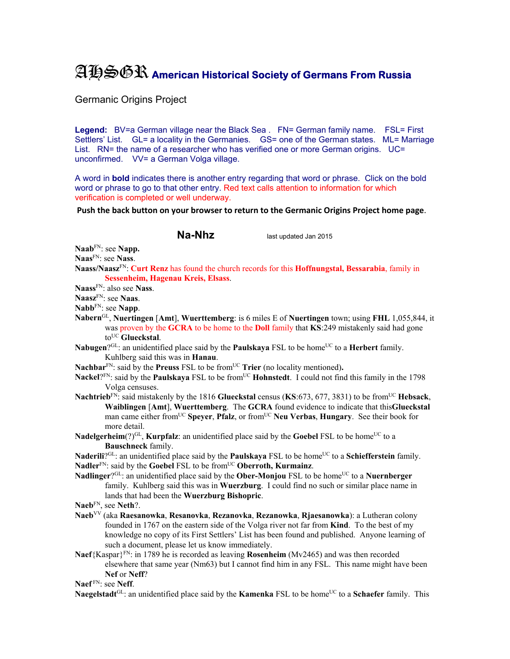## AHSGR **American Historical Society of Germans From Russia**

Germanic Origins Project

Legend: BV=a German village near the Black Sea . FN= German family name. FSL= First Settlers' List. GL= a locality in the Germanies. GS= one of the German states. ML= Marriage List. RN= the name of a researcher who has verified one or more German origins. UC= unconfirmed. VV= a German Volga village.

A word in **bold** indicates there is another entry regarding that word or phrase. Click on the bold word or phrase to go to that other entry. Red text calls attention to information for which verification is completed or well underway.

**Push the back button on your browser to return to the Germanic Origins Project home page**.

**Na-Nhz** last updated Jan 2015

**Naab**FN: see **Napp.** 

- **Naas**FN: see **Nass**.
- **Naass/Naasz**FN: **Curt Renz** has found the church records for this **Hoffnungstal, Bessarabia**, family in **Sessenheim, Hagenau Kreis, Elsass**.

**Naass**FN: also see **Nass**.

**Naasz**FN: see **Naas**.

**Nabb**FN: see **Napp**.

**Nabern**GL, **Nuertingen** [**Amt**], **Wuerttemberg**: is 6 miles E of **Nuertingen** town; using **FHL** 1,055,844, it was proven by the **GCRA** to be home to the **Doll** family that **KS**:249 mistakenly said had gone to<sup>UC</sup> Glueckstal.

**Nabugen**?<sup>GL</sup>: an unidentified place said by the **Paulskaya** FSL to be home<sup>UC</sup> to a **Herbert** family. Kuhlberg said this was in **Hanau**.

- Nachbar<sup>FN</sup>: said by the **Preuss** FSL to be from<sup>UC</sup> **Trier** (no locality mentioned).
- Nackel?<sup>FN</sup>: said by the **Paulskaya** FSL to be from<sup>UC</sup> **Hohnstedt**. I could not find this family in the 1798 Volga censuses.
- **Nachtrieb**FN: said mistakenly by the 1816 **Glueckstal** census (**KS**:673, 677, 3831) to be fromUC **Hebsack**, **Waiblingen** [**Amt**], **Wuerttemberg**. The **GCRA** found evidence to indicate that this**Glueckstal** man came either fromUC **Speyer**, **Pfalz**, or fromUC **Neu Verbas**, **Hungary**. See their book for more detail.
- **Nadelgerheim**(?) $\rm{GL}$ , **Kurpfalz**: an unidentified place said by the **Goebel** FSL to be home<sup>UC</sup> to a **Bauschneck** family.

Naderili<sup>?GL</sup>: an unidentified place said by the **Paulskaya** FSL to be home<sup>UC</sup> to a **Schiefferstein** family. **Nadler**FN: said by the **Goebel** FSL to be fromUC **Oberroth, Kurmainz**.

**Nadlinger**?<sup>GL</sup>: an unidentified place said by the **Ober-Monjou** FSL to be home<sup>UC</sup> to a **Nuernberger** family. Kuhlberg said this was in **Wuerzburg**. I could find no such or similar place name in lands that had been the **Wuerzburg Bishopric**.

**Naeb**FN, see **Neth**?.

- **Naeb**VV (aka **Raesanowka**, **Resanovka**, **Rezanovka**, **Rezanowka**, **Rjaesanowka**): a Lutheran colony founded in 1767 on the eastern side of the Volga river not far from **Kind**. To the best of my knowledge no copy of its First Settlers' List has been found and published. Anyone learning of such a document, please let us know immediately.
- **Naef**{Kaspar}FN: in 1789 he is recorded as leaving **Rosenheim** (Mv2465) and was then recorded elsewhere that same year (Nm63) but I cannot find him in any FSL. This name might have been **Nef** or **Neff**?

**Naef** FN: see **Neff**.

**Naegelstadt**<sup>GL</sup>: an unidentified place said by the **Kamenka** FSL to be home<sup>UC</sup> to a **Schaefer** family. This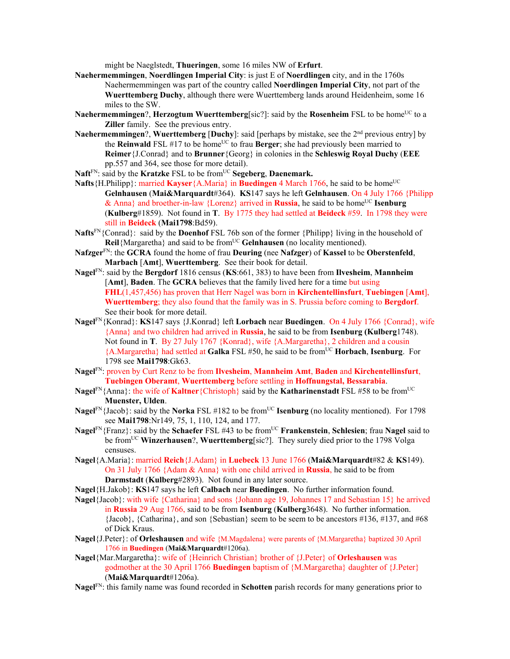might be Naeglstedt, **Thueringen**, some 16 miles NW of **Erfurt**.

- **Naehermemmingen**, **Noerdlingen Imperial City**: is just E of **Noerdlingen** city, and in the 1760s Naehermemmingen was part of the country called **Noerdlingen Imperial City**, not part of the **Wuerttemberg Duchy**, although there were Wuerttemberg lands around Heidenheim, some 16 miles to the SW.
- **Naehermemmingen?, Herzogtum Wuerttemberg**[sic?]: said by the **Rosenheim** FSL to be home<sup>UC</sup> to a **Ziller** family. See the previous entry.
- **Naehermemmingen**?, **Wuerttemberg** [**Duchy**]: said [perhaps by mistake, see the 2nd previous entry] by the **Reinwald** FSL  $#17$  to be home<sup>UC</sup> to frau **Berger**; she had previously been married to **Reimer**{J.Conrad} and to **Brunner**{Georg} in colonies in the **Schleswig Royal Duchy** (**EEE** pp.557 and 364, see those for more detail).
- Naft<sup>FN</sup>: said by the **Kratzke** FSL to be from<sup>UC</sup> **Segeberg**, **Daenemark.**
- **Nafts**{H.Philipp}: married **Kayser**{A.Maria} in **Buedingen** 4 March 1766, he said to be home<sup>UC</sup> **Gelnhausen** (**Mai&Marquardt**#364). **KS**147 says he left **Gelnhausen**. On 4 July 1766 {Philipp & Anna} and broether-in-law {Lorenz} arrived in **Russia**, he said to be home<sup>UC</sup> **Isenburg** (**Kulberg**#1859). Not found in **T**. By 1775 they had settled at **Beideck** #59. In 1798 they were still in **Beideck** (**Mai1798**:Bd59).
- **Nafts**FN{Conrad}: said by the **Doenhof** FSL 76b son of the former {Philipp} living in the household of **Reil**{Margaretha} and said to be from<sup>UC</sup> Gelnhausen (no locality mentioned).
- **Nafzger**FN: the **GCRA** found the home of frau **Deuring** (nee **Nafzger**) of **Kassel** to be **Oberstenfeld**, **Marbach** [**Amt**], **Wuerttemberg**. See their book for detail.
- **Nagel**FN: said by the **Bergdorf** 1816 census (**KS**:661, 383) to have been from **Ilvesheim**, **Mannheim**  [**Amt**], **Baden**. The **GCRA** believes that the family lived here for a time but using **FHL**(1,457,456) has proven that Herr Nagel was born in **Kirchentellinsfurt**, **Tuebingen** [**Amt**], **Wuerttemberg**; they also found that the family was in S. Prussia before coming to **Bergdorf**. See their book for more detail.
- **Nagel**FN{Konrad}: **KS**147 says {J.Konrad} left **Lorbach** near **Buedingen**. On 4 July 1766 {Conrad}, wife {Anna} and two children had arrived in **Russia**, he said to be from **Isenburg (Kulberg**1748). Not found in **T**. By 27 July 1767 {Konrad}, wife {A.Margaretha}, 2 children and a cousin {A.Margaretha} had settled at **Galka** FSL #50, he said to be fromUC **Horbach**, **Isenburg**. For 1798 see **Mai1798**:Gk63.
- **Nagel**FN: proven by Curt Renz to be from **Ilvesheim**, **Mannheim Amt**, **Baden** and **Kirchentellinsfurt**, **Tuebingen Oberamt**, **Wuerttemberg** before settling in **Hoffnungstal, Bessarabia**.
- **Nagel**<sup>FN</sup>{Anna}: the wife of **Kaltner**{Christoph} said by the **Katharinenstadt** FSL #58 to be from<sup>UC</sup> **Muenster, Ulden**.
- **Nagel**<sup>FN</sup>{Jacob}: said by the **Norka** FSL #182 to be from<sup>UC</sup> **Isenburg** (no locality mentioned). For 1798 see **Mai1798**:Nr149, 75, 1, 110, 124, and 177.
- **Nagel**<sup>FN</sup>{Franz}: said by the **Schaefer** FSL #43 to be from<sup>UC</sup> **Frankenstein**, **Schlesien**; frau **Nagel** said to be from<sup>UC</sup> **Winzerhausen**?, **Wuerttemberg**[sic?]. They surely died prior to the 1798 Volga censuses.
- **Nagel**{A.Maria}: married **Reich**{J.Adam} in **Luebeck** 13 June 1766 (**Mai&Marquardt**#82 & **KS**149). On 31 July 1766 {Adam & Anna} with one child arrived in **Russia**, he said to be from **Darmstadt** (**Kulberg**#2893). Not found in any later source.
- **Nagel**{H.Jakob}: **KS**147 says he left **Calbach** near **Buedingen**. No further information found.
- **Nagel**{Jacob}: with wife {Catharina} and sons {Johann age 19, Johannes 17 and Sebastian 15} he arrived in **Russia** 29 Aug 1766, said to be from **Isenburg** (**Kulberg**3648). No further information.  ${Jacobi}$ ,  ${Catharina}$ , and son  ${Sebastian}$  seem to be seem to be ancestors #136, #137, and #68 of Dick Kraus.
- **Nagel**{J.Peter}: of **Orleshausen** and wife {M.Magdalena} were parents of {M.Margaretha} baptized 30 April 1766 in **Buedingen** (**Mai&Marquardt**#1206a).

**Nagel**{Mar.Margaretha}: wife of {Heinrich Christian} brother of {J.Peter} of **Orleshausen** was godmother at the 30 April 1766 **Buedingen** baptism of {M.Margaretha} daughter of {J.Peter} (**Mai&Marquardt**#1206a).

**Nagel**FN: this family name was found recorded in **Schotten** parish records for many generations prior to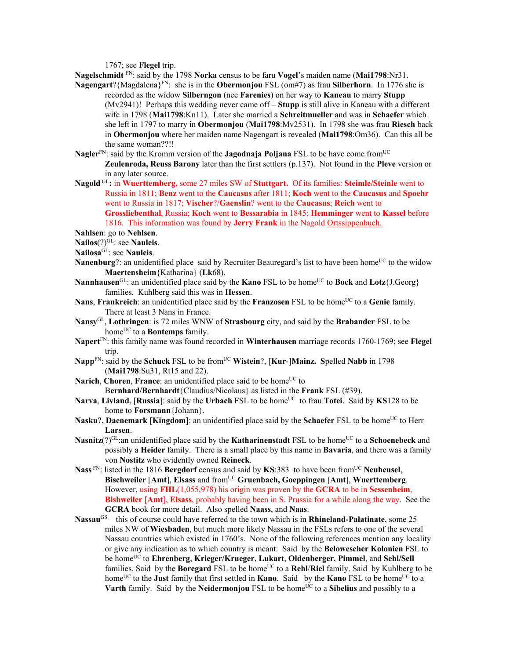1767; see **Flegel** trip.

**Nagelschmidt** FN: said by the 1798 **Norka** census to be faru **Vogel**'s maiden name (**Mai1798**:Nr31.

- **Nagengart**?{Magdalena}FN: she is in the **Obermonjou** FSL (om#7) as frau **Silberhorn**. In 1776 she is recorded as the widow **Silberngon** (nee **Farenies**) on her way to **Kaneau** to marry **Stupp** (Mv2941)! Perhaps this wedding never came off – **Stupp** is still alive in Kaneau with a different wife in 1798 (**Mai1798**:Kn11). Later she married a **Schreitmueller** and was in **Schaefer** which she left in 1797 to marry in **Obermonjou** (**Mai1798**:Mv2531). In 1798 she was frau **Riesch** back in **Obermonjou** where her maiden name Nagengart is revealed (**Mai1798**:Om36). Can this all be the same woman??!!
- **Nagler**FN: said by the Kromm version of the **Jagodnaja Poljana** FSL to be have come fromUC **Zeulenroda, Reuss Barony** later than the first settlers (p.137). Not found in the **Pleve** version or in any later source.
- **Nagold** GL**:** in **Wuerttemberg,** some 27 miles SW of **Stuttgart.** Of its families: **Steimle/Steinle** went to Russia in 1811; **Benz** went to the **Caucasus** after 1811; **Koch** went to the **Caucasus** and **Spoehr** went to Russia in 1817; **Vischer**?/**Gaenslin**? went to the **Caucasus**; **Reich** went to **Grossliebenthal**, Russia; **Koch** went to **Bessarabia** in 1845; **Hemminger** went to **Kassel** before 1816. This information was found by **Jerry Frank** in the Nagold Ortssippenbuch.
- **Nahlsen**: go to **Nehlsen**.
- **Nailos**(?)GL: see **Nauleis**.
- **Nailosa**GL: see **Nauleis**.
- **Nanenburg**?: an unidentified place said by Recruiter Beauregard's list to have been home<sup>UC</sup> to the widow **Maertensheim**{Katharina} (**Lk**68).
- **Nannhausen**<sup>GL</sup>: an unidentified place said by the **Kano** FSL to be home<sup>UC</sup> to **Bock** and **Lotz**{J.Georg} families. Kuhlberg said this was in **Hessen**.
- **Nans**, **Frankreich**: an unidentified place said by the **Franzosen** FSL to be home<sup>UC</sup> to a Genie family. There at least 3 Nans in France.
- **Nansy**GL, **Lothringen**: is 72 miles WNW of **Strasbourg** city, and said by the **Brabander** FSL to be home<sup>UC</sup> to a **Bontemps** family.
- **Napert**FN: this family name was found recorded in **Winterhausen** marriage records 1760-1769; see **Flegel** trip.
- **Napp**<sup>FN</sup>: said by the **Schuck** FSL to be from<sup>UC</sup> **Wistein**?, [**Kur-**]**Mainz.** Spelled Nabb in 1798 (**Mai1798**:Su31, Rt15 and 22).
- **Narich, Choren, France:** an unidentified place said to be home<sup>UC</sup> to B**ernhard/Bernhardt**{Claudius/Nicolaus} as listed in the **Frank** FSL (#39).
- Narva, Livland, [Russia]: said by the Urbach FSL to be home<sup>UC</sup> to frau Totei. Said by KS128 to be home to **Forsmann**{Johann}.
- **Nasku**?, **Daenemark** [**Kingdom**]: an unidentified place said by the **Schaefer** FSL to be home<sup>UC</sup> to Herr **Larsen**.
- **Nasnitz**(?)<sup>GL</sup>:an unidentified place said by the **Katharinenstadt** FSL to be home<sup>UC</sup> to a **Schoenebeck** and possibly a **Heider** family. There is a small place by this name in **Bavaria**, and there was a family von **Nostitz** who evidently owned **Reineck**.
- **Nass** FN: listed in the 1816 **Bergdorf** census and said by **KS**:383 to have been from<sup>UC</sup> Neuheusel, Bischweiler [Amt], Elsass and from<sup>UC</sup> Gruenbach, Goeppingen [Amt], Wuerttemberg. However, using **FHL**(1,055,978) his origin was proven by the **GCRA** to be in **Sessenheim**, **Bishweiler** [**Amt**], **Elsass**, probably having been in S. Prussia for a while along the way. See the **GCRA** book for more detail. Also spelled **Naass**, and **Naas**.
- **Nassau**GS this of course could have referred to the town which is in **Rhineland-Palatinate**, some 25 miles NW of **Wiesbaden**, but much more likely Nassau in the FSLs refers to one of the several Nassau countries which existed in 1760's. None of the following references mention any locality or give any indication as to which country is meant: Said by the **Belowescher Kolonien** FSL to be homeUC to **Ehrenberg**, **Krieger/Krueger**, **Lukart**, **Oldenberger**, **Pimmel**, and **Sehl/Sell**  families. Said by the **Boregard** FSL to be home<sup>UC</sup> to a **Rehl/Riel** family. Said by Kuhlberg to be home<sup>UC</sup> to the **Just** family that first settled in **Kano**. Said by the **Kano** FSL to be home<sup>UC</sup> to a **Varth** family. Said by the **Neidermonjou** FSL to be home<sup>UC</sup> to a **Sibelius** and possibly to a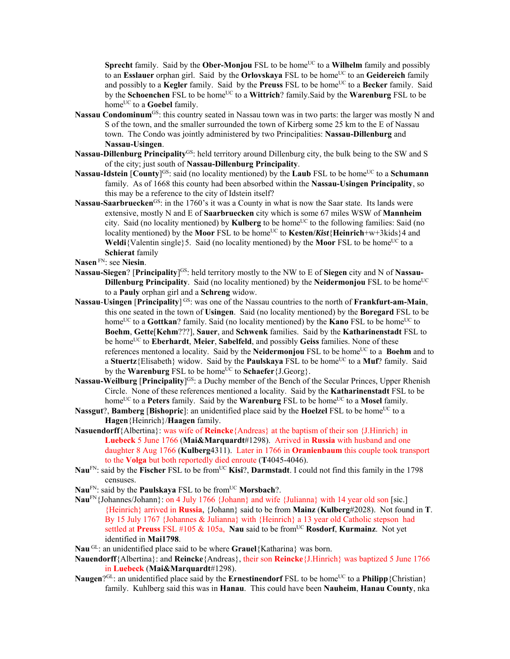**Sprecht** family. Said by the **Ober-Monjou** FSL to be home<sup>UC</sup> to a **Wilhelm** family and possibly to an **Esslauer** orphan girl. Said by the **Orlovskaya** FSL to be home<sup>UC</sup> to an **Geidereich** family and possibly to a **Kegler** family. Said by the **Preuss** FSL to be home<sup>UC</sup> to a **Becker** family. Said by the **Schoenchen** FSL to be home<sup>UC</sup> to a **Wittrich**? family. Said by the **Warenburg** FSL to be home<sup>UC</sup> to a **Goebel** family.

- **Nassau Condominum**GS: this country seated in Nassau town was in two parts: the larger was mostly N and S of the town, and the smaller surrounded the town of Kirberg some 25 km to the E of Nassau town. The Condo was jointly administered by two Principalities: **Nassau-Dillenburg** and **Nassau-Usingen**.
- **Nassau-Dillenburg Principality**GS: held territory around Dillenburg city, the bulk being to the SW and S of the city; just south of **Nassau-Dillenburg Principality**.
- **Nassau-Idstein** [County]<sup>GS:</sup> said (no locality mentioned) by the **Laub** FSL to be home<sup>UC</sup> to a **Schumann** family. As of 1668 this county had been absorbed within the **Nassau-Usingen Principality**, so this may be a reference to the city of Idstein itself?
- **Nassau-Saarbruecken**GS: in the 1760's it was a County in what is now the Saar state. Its lands were extensive, mostly N and E of **Saarbruecken** city which is some 67 miles WSW of **Mannheim** city. Said (no locality mentioned) by **Kulberg** to be home<sup>UC</sup> to the following families: Said (no locality mentioned) by the **Moor** FSL to be home<sup>UC</sup> to **Kesten/***Kist*{Heinrich+w+3kids}4 and **Weldi**{Valentin single}5. Said (no locality mentioned) by the **Moor** FSL to be home<sup>UC</sup> to a **Schierat** family

**Nasen** FN: see **Niesin**.

- **Nassau-Siegen**? [**Principality**] GS: held territory mostly to the NW to E of **Siegen** city and N of **Nassau-Dillenburg Principality**. Said (no locality mentioned) by the **Neidermonjou** FSL to be home<sup>UC</sup> to a **Pauly** orphan girl and a **Schreng** widow.
- Nassau-Usingen [Principality]<sup>GS</sup>: was one of the Nassau countries to the north of Frankfurt-am-Main, this one seated in the town of **Usingen**. Said (no locality mentioned) by the **Boregard** FSL to be home<sup>UC</sup> to a **Gottkan**? family. Said (no locality mentioned) by the **Kano** FSL to be home<sup>UC</sup> to **Boehm**, **Gette**[**Kehm**???], **Sauer**, and **Schwenk** families. Said by the **Katharinenstadt** FSL to be home<sup>UC</sup> to **Eberhardt**, **Meier**, **Sabelfeld**, and possibly **Geiss** families. None of these references mentoned a locality. Said by the **Neidermonjou** FSL to be home<sup>UC</sup> to a **Boehm** and to a Stuertz {Elisabeth} widow. Said by the **Paulskaya** FSL to be home<sup>UC</sup> to a Muf? family. Said by the **Warenburg** FSL to be home<sup>UC</sup> to **Schaefer**{J.Georg}.
- **Nassau-Weilburg [Principality**]<sup>GS</sup>: a Duchy member of the Bench of the Secular Princes, Upper Rhenish Circle. None of these references mentioned a locality. Said by the **Katharinenstadt** FSL to be home<sup>UC</sup> to a **Peters** family. Said by the **Warenburg** FSL to be home<sup>UC</sup> to a **Mosel** family.
- **Nassgut**?, **Bamberg** [Bishopric]: an unidentified place said by the **Hoelzel** FSL to be home<sup>UC</sup> to a **Hagen**{Heinrich}/**Haagen** family.
- **Nasuendorff**{Albertina}: was wife of **Reincke**{Andreas} at the baptism of their son {J.Hinrich} in **Luebeck** 5 June 1766 (**Mai&Marquardt**#1298). Arrived in **Russia** with husband and one daughter 8 Aug 1766 (**Kulberg**4311). Later in 1766 in **Oranienbaum** this couple took transport to the **Volga** but both reportedly died enroute (**T**4045-4046).
- Nau<sup>FN</sup>: said by the **Fischer** FSL to be from<sup>UC</sup> Kisi<sup>?</sup>, Darmstadt. I could not find this family in the 1798 censuses.
- Nau<sup>FN</sup>: said by the **Paulskaya** FSL to be from<sup>UC</sup> **Morsbach**?.
- **Nau**FN{Johannes/Johann}: on 4 July 1766 {Johann} and wife {Julianna} with 14 year old son [sic.] {Heinrich} arrived in **Russia**, {Johann} said to be from **Mainz** (**Kulberg**#2028). Not found in **T**. By 15 July 1767 {Johannes & Julianna} with {Heinrich} a 13 year old Catholic stepson had settled at **Preuss** FSL #105 & 105a, **Nau** said to be fromUC **Rosdorf**, **Kurmainz**. Not yet identified in **Mai1798**.
- Nau <sup>GL</sup>: an unidentified place said to be where **Grauel**{Katharina} was born.
- **Nauendorff**{Albertina}: and **Reincke**{Andreas}, their son **Reincke**{J.Hinrich} was baptized 5 June 1766 in **Luebeck** (**Mai&Marquardt**#1298).
- **Naugen**?GL: an unidentified place said by the **Ernestinendorf** FSL to be home<sup>UC</sup> to a **Philipp**{Christian} family. Kuhlberg said this was in **Hanau**. This could have been **Nauheim**, **Hanau County**, nka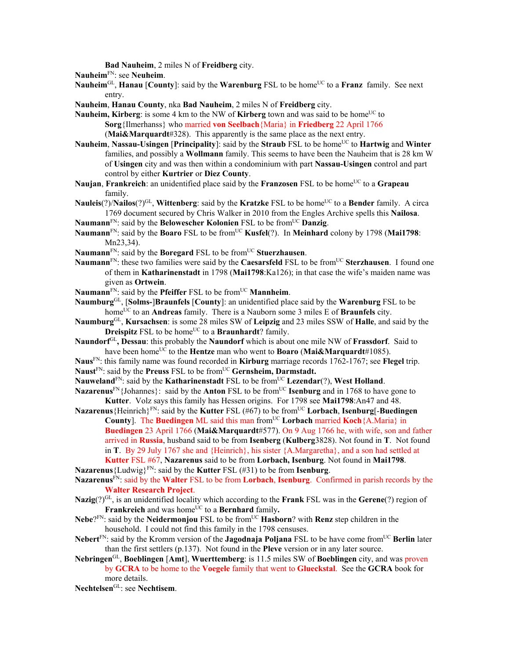**Bad Nauheim**, 2 miles N of **Freidberg** city.

**Nauheim**FN: see **Neuheim**.

- **Nauheim**<sup>GL</sup>, **Hanau** [**County**]: said by the **Warenburg** FSL to be home<sup>UC</sup> to a **Franz** family. See next entry.
- **Nauheim**, **Hanau County**, nka **Bad Nauheim**, 2 miles N of **Freidberg** city.
- Nauheim, Kirberg: is some 4 km to the NW of Kirberg town and was said to be home<sup>UC</sup> to **Sorg**{Ilmerhanss} who married **von Seelbach**{Maria} in **Friedberg** 22 April 1766 (**Mai&Marquardt**#328). This apparently is the same place as the next entry.
- **Nauheim, Nassau-Usingen** [**Principality**]: said by the **Straub** FSL to be home<sup>UC</sup> to **Hartwig** and **Winter** families, and possibly a **Wollmann** family. This seems to have been the Nauheim that is 28 km W of **Usingen** city and was then within a condominium with part **Nassau-Usingen** control and part control by either **Kurtrier** or **Diez County**.
- **Naujan, Frankreich**: an unidentified place said by the **Franzosen** FSL to be home<sup>UC</sup> to a **Grapeau** family.
- **Nauleis**(?)/**Nailos**(?)<sup>GL</sup>, **Wittenberg**: said by the **Kratzke** FSL to be home<sup>UC</sup> to a **Bender** family. A circa 1769 document secured by Chris Walker in 2010 from the Engles Archive spells this **Nailosa**.
- Naumann<sup>FN</sup>: said by the **Belowescher Kolonien** FSL to be from<sup>UC</sup> Danzig.
- **Naumann**FN: said by the **Boaro** FSL to be fromUC **Kusfel**(?). In **Meinhard** colony by 1798 (**Mai1798**: Mn23,34).
- Naumann<sup>FN</sup>: said by the **Boregard** FSL to be from<sup>UC</sup> Stuerzhausen.
- **Naumann**<sup>FN</sup>: these two families were said by the **Caesarsfeld** FSL to be from<sup>UC</sup> **Sterzhausen**. I found one of them in **Katharinenstadt** in 1798 (**Mai1798**:Ka126); in that case the wife's maiden name was given as **Ortwein**.
- **Naumann**<sup>FN</sup>: said by the **Pfeiffer** FSL to be from<sup>UC</sup> **Mannheim**.
- **Naumburg**GL, [**Solms-**]**Braunfels** [**County**]: an unidentified place said by the **Warenburg** FSL to be homeUC to an **Andreas** family. There is a Nauborn some 3 miles E of **Braunfels** city.
- **Naumburg**GL, **Kursachsen**: is some 28 miles SW of **Leipzig** and 23 miles SSW of **Halle**, and said by the **Dreispitz** FSL to be home<sup>UC</sup> to a **Braunhardt**? family.
- **Naundorf**GL**, Dessau**: this probably the **Naundorf** which is about one mile NW of **Frassdorf**. Said to have been home<sup>UC</sup> to the **Hentze** man who went to **Boaro** (Mai&Marquardt#1085).
- **Naus**FN: this family name was found recorded in **Kirburg** marriage records 1762-1767; see **Flegel** trip. Naust<sup>FN</sup>: said by the **Preuss** FSL to be from<sup>UC</sup> Gernsheim, Darmstadt.
- **Nauweland**<sup>FN</sup>: said by the **Katharinenstadt** FSL to be from<sup>UC</sup> **Lezendar**(?), **West Holland**.
- **Nazarenus**<sup>FN</sup>{Johannes}: said by the **Anton** FSL to be from<sup>UC</sup> **Isenburg** and in 1768 to have gone to **Kutter**. Volz says this family has Hessen origins. For 1798 see **Mai1798**:An47 and 48.
- **Nazarenus**{Heinrich}FN: said by the **Kutter** FSL (#67) to be fromUC **Lorbach**, **Isenburg**[-**Buedingen County**]. The **Buedingen** ML said this man from<sup>UC</sup> Lorbach married **Koch**{A.Maria} in **Buedingen** 23 April 1766 (**Mai&Marquardt**#577). On 9 Aug 1766 he, with wife, son and father
	- arrived in **Russia**, husband said to be from **Isenberg** (**Kulberg**3828). Not found in **T**. Not found in **T**. By 29 July 1767 she and {Heinrich}, his sister {A.Margaretha}, and a son had settled at **Kutter** FSL #67, **Nazarenus** said to be from **Lorbach, Isenburg**. Not found in **Mai1798**.
- **Nazarenus**{Ludwig}<sup>FN</sup>: said by the **Kutter** FSL (#31) to be from **Isenburg**.
- **Nazarenus**FN: said by the **Walter** FSL to be from **Lorbach**, **Isenburg**. Confirmed in parish records by the **Walter Research Project**.
- **Nazig**(?)GL, is an unidentified locality which according to the **Frank** FSL was in the **Gerene**(?) region of **Frankreich** and was home<sup>UC</sup> to a **Bernhard** family.
- **Nebe**?<sup>FN</sup>: said by the **Neidermonjou** FSL to be from<sup>UC</sup> **Hasborn**? with **Renz** step children in the household. I could not find this family in the 1798 censuses.
- **Nebert**FN: said by the Kromm version of the **Jagodnaja Poljana** FSL to be have come fromUC **Berlin** later than the first settlers (p.137). Not found in the **Pleve** version or in any later source.
- **Nebringen**GL, **Boeblingen** [**Amt**], **Wuerttemberg**: is 11.5 miles SW of **Boeblingen** city, and was proven by **GCRA** to be home to the **Voegele** family that went to **Glueckstal**. See the **GCRA** book for more details.

**Nechtelsen**GL: see **Nechtisem**.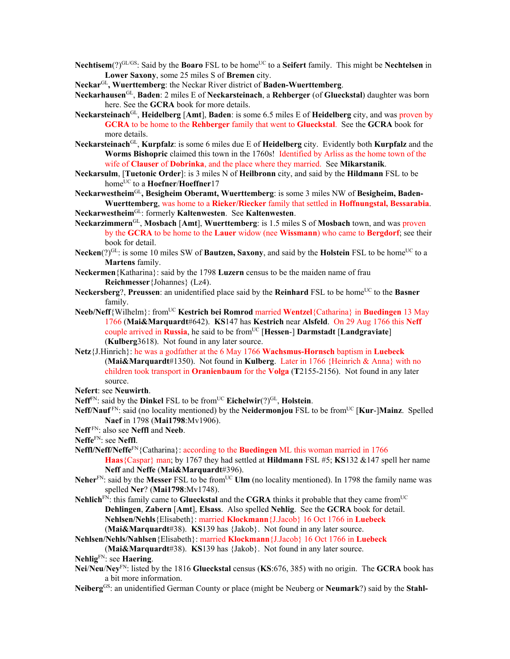- **Nechtisem**(?)<sup>GL/GS</sup>: Said by the **Boaro** FSL to be home<sup>UC</sup> to a **Seifert** family. This might be **Nechtelsen** in **Lower Saxony**, some 25 miles S of **Bremen** city.
- **Neckar**GL**, Wuerttemberg**: the Neckar River district of **Baden-Wuerttemberg**.
- **Neckarhausen**GL, **Baden**: 2 miles E of **Neckarsteinach**, a **Rehberger** (of **Glueckstal**) daughter was born here. See the **GCRA** book for more details.
- **Neckarsteinach**GL, **Heidelberg** [**Amt**], **Baden**: is some 6.5 miles E of **Heidelberg** city, and was proven by **GCRA** to be home to the **Rehberger** family that went to **Glueckstal**. See the **GCRA** book for more details.
- **Neckarsteinach**GL, **Kurpfalz**: is some 6 miles due E of **Heidelberg** city. Evidently both **Kurpfalz** and the **Worms Bishopric** claimed this town in the 1760s! Identified by Arliss as the home town of the wife of **Clauser** of **Dobrinka**, and the place where they married. See **Mikarstanik**.
- **Neckarsulm**, [**Tuetonic Order**]: is 3 miles N of **Heilbronn** city, and said by the **Hildmann** FSL to be home<sup>UC</sup> to a **Hoefner/Hoeffner**17
- **Neckarwestheim**GL**, Besigheim Oberamt, Wuerttemberg**: is some 3 miles NW of **Besigheim, Baden-Wuerttemberg**, was home to a **Rieker/Riecker** family that settled in **Hoffnungstal, Bessarabia**.
- **Neckarwestheim**GL: formerly **Kaltenwesten**. See **Kaltenwesten**.
- **Neckarzimmern**GL, **Mosbach** [**Amt**], **Wuerttemberg**: is 1.5 miles S of **Mosbach** town, and was proven by the **GCRA** to be home to the **Lauer** widow (nee **Wissmann**) who came to **Bergdorf**; see their book for detail.
- **Necken**(?)<sup>GL</sup>: is some 10 miles SW of **Bautzen, Saxony**, and said by the **Holstein** FSL to be home<sup>UC</sup> to a **Martens** family.
- **Neckermen**{Katharina}: said by the 1798 **Luzern** census to be the maiden name of frau **Reichmesser**{Johannes} (Lz4).
- Neckersberg?, Preussen: an unidentified place said by the Reinhard FSL to be home<sup>UC</sup> to the Basner family.
- **Neeb/Neff**{Wilhelm}: fromUC **Kestrich bei Romrod** married **Wentzel**{Catharina} in **Buedingen** 13 May 1766 (**Mai&Marquardt**#642). **KS**147 has **Kestrich** near **Alsfeld**. On 29 Aug 1766 this **Neff**  couple arrived in **Russia**, he said to be fromUC [**Hessen**-] **Darmstadt** [**Landgraviate**] (**Kulberg**3618). Not found in any later source.
- **Netz**{J.Hinrich}: he was a godfather at the 6 May 1766 **Wachsmus-Hornsch** baptism in **Luebeck** (**Mai&Marquardt**#1350). Not found in **Kulberg**. Later in 1766 {Heinrich & Anna} with no children took transport in **Oranienbaum** for the **Volga** (**T**2155-2156). Not found in any later source.
- **Nefert**: see **Neuwirth**.
- **Neff**<sup>FN</sup>: said by the **Dinkel** FSL to be from<sup>UC</sup> **Eichelwir**(?)<sup>GL</sup>, **Holstein**.
- **Neff/Nauf**<sup>FN</sup>: said (no locality mentioned) by the **Neidermonjou** FSL to be from<sup>UC</sup> [**Kur-]Mainz**. Spelled **Naef** in 1798 (**Mai1798**:Mv1906).
- **Neff** FN: also see **Neffl** and **Neeb**.
- **Neffe**FN: see **Neffl**.
- **Neffl/Neff/Neffe**FN{Catharina}: according to the **Buedingen** ML this woman married in 1766 **Haas**{Caspar} man; by 1767 they had settled at **Hildmann** FSL #5; **KS**132 &147 spell her name **Neff** and **Neffe** (**Mai&Marquardt**#396).
- Neher<sup>FN</sup>: said by the Messer FSL to be from<sup>UC</sup> **Ulm** (no locality mentioned). In 1798 the family name was spelled **Ner**? (**Mai1798**:Mv1748).
- **Nehlich** $F_N$ : this family came to **Glueckstal** and the **CGRA** thinks it probable that they came from<sup>UC</sup> **Dehlingen**, **Zabern** [**Amt**], **Elsass**. Also spelled **Nehlig**. See the **GCRA** book for detail. **Nehlsen/Nehls**{Elisabeth}: married **Klockmann**{J.Jacob} 16 Oct 1766 in **Luebeck**  (**Mai&Marquardt**#38). **KS**139 has {Jakob}. Not found in any later source.
- **Nehlsen/Nehls/Nahlsen**{Elisabeth}: married **Klockmann**{J.Jacob} 16 Oct 1766 in **Luebeck**

(**Mai&Marquardt**#38). **KS**139 has {Jakob}. Not found in any later source.

**Nehlig**FN: see **Haering**.

- **Nei**/**Neu**/**Ney**FN: listed by the 1816 **Glueckstal** census (**KS**:676, 385) with no origin. The **GCRA** book has a bit more information.
- **Neiberg**GS: an unidentified German County or place (might be Neuberg or **Neumark**?) said by the **Stahl-**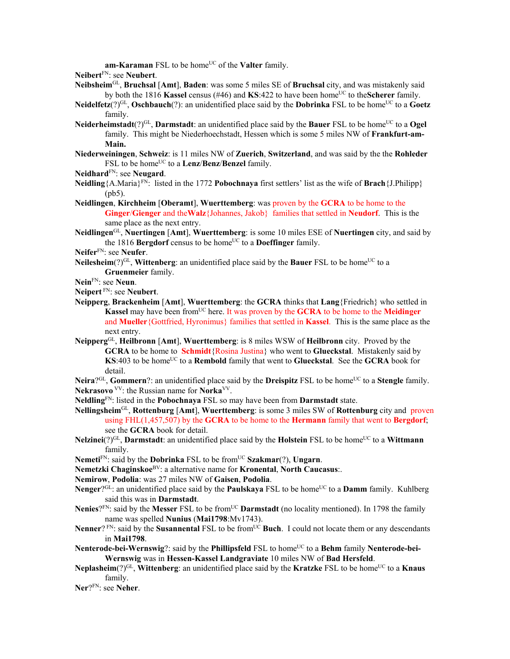am-Karaman FSL to be home<sup>UC</sup> of the **Valter** family.

**Neibert**FN: see **Neubert**.

- **Neibsheim**GL, **Bruchsal** [**Amt**], **Baden**: was some 5 miles SE of **Bruchsal** city, and was mistakenly said by both the 1816 **Kassel** census (#46) and **KS**:422 to have been home<sup>UC</sup> to the **Scherer** family.
- **Neidelfetz**(?)<sup>GL</sup>, **Oschbauch**(?): an unidentified place said by the **Dobrinka** FSL to be home<sup>UC</sup> to a **Goetz** family.
- **Neiderheimstadt**(?)<sup>GL</sup>, **Darmstadt**: an unidentified place said by the **Bauer** FSL to be home<sup>UC</sup> to a **Ogel** family. This might be Niederhoechstadt, Hessen which is some 5 miles NW of **Frankfurt-am-Main.**
- **Niederweiningen**, **Schweiz**: is 11 miles NW of **Zuerich**, **Switzerland**, and was said by the the **Rohleder** FSL to be home<sup>UC</sup> to a **Lenz/Benz/Benzel** family.
- **Neidhard**FN: see **Neugard**.
- **Neidling**{A.Maria}FN: listed in the 1772 **Pobochnaya** first settlers' list as the wife of **Brach**{J.Philipp} (pb5).
- **Neidlingen**, **Kirchheim** [**Oberamt**], **Wuerttemberg**: was proven by the **GCRA** to be home to the **Ginger**/**Gienger** and the**Walz**{Johannes, Jakob} families that settled in **Neudorf**. This is the same place as the next entry.
- **Neidlingen**GL, **Nuertingen** [**Amt**], **Wuerttemberg**: is some 10 miles ESE of **Nuertingen** city, and said by the 1816 **Bergdorf** census to be home<sup>UC</sup> to a **Doeffinger** family.

**Neifer**FN: see **Neufer**.

**Neilesheim**(?)<sup>GL</sup>, **Wittenberg**: an unidentified place said by the **Bauer** FSL to be home<sup>UC</sup> to a **Gruenmeier** family.

## **Nein**FN: see **Neun**.

**Neipert** FN: see **Neubert**.

- **Neipperg**, **Brackenheim** [**Amt**], **Wuerttemberg**: the **GCRA** thinks that **Lang**{Friedrich} who settled in **Kassel** may have been from<sup>UC</sup> here. It was proven by the **GCRA** to be home to the **Meidinger** and **Mueller**{Gottfried, Hyronimus} families that settled in **Kassel**. This is the same place as the next entry.
- **Neipperg**GL, **Heilbronn** [**Amt**], **Wuerttemberg**: is 8 miles WSW of **Heilbronn** city. Proved by the **GCRA** to be home to **Schmidt**{Rosina Justina} who went to **Glueckstal**. Mistakenly said by **KS**:403 to be home<sup>UC</sup> to a **Rembold** family that went to **Glueckstal**. See the **GCRA** book for detail.

**Neira**?<sup>GL</sup>, **Gommern**?: an unidentified place said by the **Dreispitz** FSL to be home<sup>UC</sup> to a **Stengle** family. **Nekrasovo** VV: the Russian name for **Norka**VV.

- **Neldling**FN: listed in the **Pobochnaya** FSL so may have been from **Darmstadt** state.
- **Nellingsheim**GL, **Rottenburg** [**Amt**], **Wuerttemberg**: is some 3 miles SW of **Rottenburg** city and proven using FHL(1,457,507) by the **GCRA** to be home to the **Hermann** family that went to **Bergdorf**; see the **GCRA** book for detail.
- **Nelzinei**(?)<sup>GL</sup>, **Darmstadt**: an unidentified place said by the **Holstein** FSL to be home<sup>UC</sup> to a **Wittmann** family.
- **Nemeti**<sup>FN</sup>: said by the **Dobrinka** FSL to be from<sup>UC</sup> **Szakmar**(?), **Ungarn**.
- **Nemetzki Chaginskoe**BV: a alternative name for **Kronental**, **North Caucasus**:.

**Nemirow**, **Podolia**: was 27 miles NW of **Gaisen**, **Podolia**.

- **Nenger**?<sup>GL</sup>: an unidentified place said by the **Paulskaya** FSL to be home<sup>UC</sup> to a **Damm** family. Kuhlberg said this was in **Darmstadt**.
- **Nenies**?<sup>FN</sup>: said by the **Messer** FSL to be from<sup>UC</sup> **Darmstadt** (no locality mentioned). In 1798 the family name was spelled **Nunius** (**Mai1798**:Mv1743).
- **Nenner**? FN: said by the **Susannental** FSL to be from<sup>UC</sup> Buch. I could not locate them or any descendants in **Mai1798**.
- Nenterode-bei-Wernswig?: said by the Phillipsfeld FSL to home<sup>UC</sup> to a Behm family Nenterode-bei-**Wernswig** was in **Hessen-Kassel Landgraviate** 10 miles NW of **Bad Hersfeld**.
- **Neplasheim**(?)<sup>GL</sup>, **Wittenberg**: an unidentified place said by the **Kratzke** FSL to be home<sup>UC</sup> to a **Knaus** family.

**Ner**?FN: see **Neher**.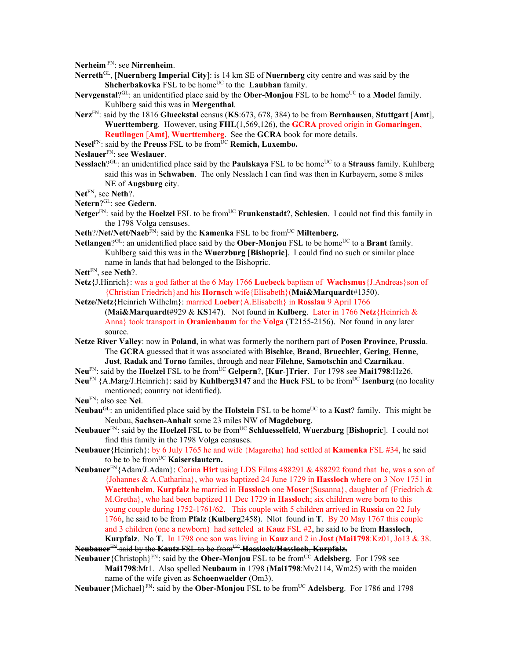**Nerheim** FN: see **Nirrenheim**.

- **Nerreth**GL, [**Nuernberg Imperial City**]: is 14 km SE of **Nuernberg** city centre and was said by the **Shcherbakovka** FSL to be home<sup>UC</sup> to the **Laubhan** family.
- **Nervgenstal**?<sup>GL</sup>: an unidentified place said by the **Ober-Monjou** FSL to be home<sup>UC</sup> to a **Model** family. Kuhlberg said this was in **Mergenthal**.
- **Nerz**FN: said by the 1816 **Glueckstal** census (**KS**:673, 678, 384) to be from **Bernhausen**, **Stuttgart** [**Amt**], **Wuerttemberg**. However, using **FHL**(1,569,126), the **GCRA** proved origin in **Gomaringen**, **Reutlingen** [**Amt**], **Wuerttemberg**. See the **GCRA** book for more details.
- Nesel<sup>FN</sup>: said by the **Preuss** FSL to be from<sup>UC</sup> **Remich, Luxembo.**
- **Neslauer**FN: see **Weslauer**.
- **Nesslach**?<sup>GL</sup>: an unidentified place said by the **Paulskaya** FSL to be home<sup>UC</sup> to a **Strauss** family. Kuhlberg said this was in **Schwaben**. The only Nesslach I can find was then in Kurbayern, some 8 miles NE of **Augsburg** city.

**Net**FN, see **Neth**?.

- **Netern**?GL: see **Gedern**.
- Netger<sup>FN</sup>: said by the **Hoelzel** FSL to be from<sup>UC</sup> **Frunkenstadt**?, **Schlesien**. I could not find this family in the 1798 Volga censuses.
- Neth?/Net/Nett/Naeb<sup>FN</sup>: said by the **Kamenka** FSL to be from<sup>UC</sup> Miltenberg.
- Netlangen<sup>?GL</sup>: an unidentified place said by the **Ober-Monjou** FSL to be home<sup>UC</sup> to a **Brant** family. Kuhlberg said this was in the **Wuerzburg** [**Bishopric**]. I could find no such or similar place name in lands that had belonged to the Bishopric.
- **Nett**FN, see **Neth**?.
- **Netz**{J.Hinrich}: was a god father at the 6 May 1766 **Luebeck** baptism of **Wachsmus**{J.Andreas}son of {Christian Friedrich}and his **Hornsch** wife{Elisabeth}(**Mai&Marquardt**#1350).
- **Netze/Netz**{Heinrich Wilhelm}: married **Loeber**{A.Elisabeth} in **Rosslau** 9 April 1766 (**Mai&Marquardt**#929 & **KS**147). Not found in **Kulberg**. Later in 1766 **Netz**{Heinrich &
	- Anna} took transport in **Oranienbaum** for the **Volga** (**T**2155-2156). Not found in any later source.
- **Netze River Valley**: now in **Poland**, in what was formerly the northern part of **Posen Province**, **Prussia**. The **GCRA** guessed that it was associated with **Bischke**, **Brand**, **Bruechler**, **Gering**, **Henne**, **Just**, **Radak** and **Torno** familes, through and near **Filehne**, **Samotschin** and **Czarnikau**.
- **Neu**FN: said by the **Hoelzel** FSL to be fromUC **Gelpern**?, [**Kur**-]**Trier**. For 1798 see **Mai1798**:Hz26.
- **Neu**<sup>FN</sup> {A.Marg/J.Heinrich}: said by **Kuhlberg3147** and the **Huck** FSL to be from<sup>UC</sup> **Isenburg** (no locality mentioned; country not identified).
- **Neu**FN: also see **Nei**.
- **Neubau**<sup>GL</sup>: an unidentified place said by the **Holstein** FSL to be home<sup>UC</sup> to a **Kast**? family. This might be Neubau, **Sachsen-Anhalt** some 23 miles NW of **Magdeburg**.
- **Neubauer**FN: said by the **Hoelzel** FSL to be fromUC **Schluesselfeld**, **Wuerzburg** [**Bishopric**]. I could not find this family in the 1798 Volga censuses.
- **Neubauer**{Heinrich}: by 6 July 1765 he and wife {Magaretha} had settled at **Kamenka** FSL #34, he said to be to be fromUC **Kaiserslautern.**
- **Neubauer**FN{Adam/J.Adam}: Corina **Hirt** using LDS Films 488291 & 488292 found that he, was a son of {Johannes & A.Catharina}, who was baptized 24 June 1729 in **Hassloch** where on 3 Nov 1751 in **Waettenheim**, **Kurpfalz** he married in **Hassloch** one **Moser**{Susanna}, daughter of {Friedrich & M.Gretha}, who had been baptized 11 Dec 1729 in **Hassloch**; six children were born to this young couple during 1752-1761/62. This couple with 5 children arrived in **Russia** on 22 July 1766, he said to be from **Pfalz** (**Kulberg**2458). Nlot found in **T**. By 20 May 1767 this couple and 3 children (one a newborn) had setteled at **Kauz** FSL #2, he said to be from **Hassloch**, **Kurpfalz**. No **T**. In 1798 one son was living in **Kauz** and 2 in **Jost** (**Mai1798**:Kz01, Jo13 & 38.
- **Neubauer**FN said by the **Kautz** FSL to be fromUC **Hasslock/Hassloch**, **Kurpfalz.**
- **Neubauer** {Christoph}<sup>FN</sup>: said by the **Ober-Monjou** FSL to be from<sup>UC</sup> **Adelsberg**. For 1798 see **Mai1798**:Mt1. Also spelled **Neubaum** in 1798 (**Mai1798**:Mv2114, Wm25) with the maiden name of the wife given as **Schoenwaelder** (Om3).
- **Neubauer** {Michael}<sup>FN</sup>: said by the **Ober-Monjou** FSL to be from<sup>UC</sup> **Adelsberg**. For 1786 and 1798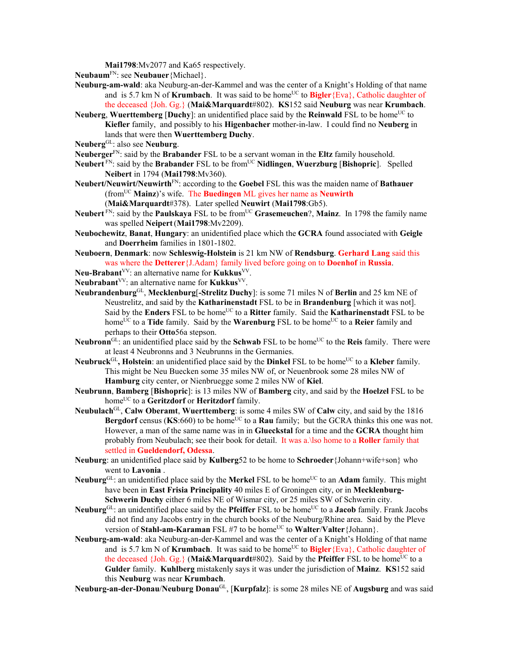**Mai1798**:Mv2077 and Ka65 respectively.

- **Neubaum**FN: see **Neubauer**{Michael}.
- **Neuburg-am-wald**: aka Neuburg-an-der-Kammel and was the center of a Knight's Holding of that name and is 5.7 km N of **Krumbach**. It was said to be home<sup>UC</sup> to **Bigler**{Eva}, Catholic daughter of the deceased {Joh. Gg.} (**Mai&Marquardt**#802). **KS**152 said **Neuburg** was near **Krumbach**.
- **Neuberg, Wuerttemberg [Duchy]:** an unidentified place said by the **Reinwald** FSL to be home<sup>UC</sup> to **Kiefler** family, and possibly to his **Higenbacher** mother-in-law. I could find no **Neuberg** in lands that were then **Wuerttemberg Duchy**.
- **Neuberg**GL: also see **Neuburg**.
- **Neuberger**FN: said by the **Brabander** FSL to be a servant woman in the **Eltz** family household.
- **Neubert** FN: said by the **Brabander** FSL to be fromUC **Nidlingen**, **Wuerzburg** [**Bishopric**]. Spelled **Neibert** in 1794 (**Mai1798**:Mv360).
- **Neubert/Neuwirt/Neuwirth**FN: according to the **Goebel** FSL this was the maiden name of **Bathauer**  (fromUC **Mainz**)'s wife. The **Buedingen** ML gives her name as **Neuwirth**
	- (**Mai&Marquardt**#378). Later spelled **Neuwirt** (**Mai1798**:Gb5).
- Neubert<sup>FN</sup>: said by the **Paulskaya** FSL to be from<sup>UC</sup> Grasemeuchen?, Mainz. In 1798 the family name was spelled **Neipert**(**Mai1798**:Mv2209).
- **Neubochewitz**, **Banat**, **Hungary**: an unidentified place which the **GCRA** found associated with **Geigle** and **Doerrheim** families in 1801-1802.
- **Neuboern**, **Denmark**: now **Schleswig-Holstein** is 21 km NW of **Rendsburg**. **Gerhard Lang** said this was where the **Detterer**{J.Adam} family lived before going on to **Doenhof** in **Russia**.
- **Neu-Brabant**VV: an alternative name for **Kukkus**VV.
- Neubrabant<sup>VV</sup>: an alternative name for **Kukkus**<sup>VV</sup>.
- **Neubrandenburg**GL, **Mecklenburg**[**-Strelitz Duchy**]: is some 71 miles N of **Berlin** and 25 km NE of Neustrelitz, and said by the **Katharinenstadt** FSL to be in **Brandenburg** [which it was not]. Said by the **Enders** FSL to be home<sup>UC</sup> to a **Ritter** family. Said the **Katharinenstadt** FSL to be home<sup>UC</sup> to a **Tide** family. Said by the **Warenburg** FSL to be home<sup>UC</sup> to a **Reier** family and perhaps to their **Otto**56a stepson.
- **Neubronn**<sup>GL</sup>: an unidentified place said by the **Schwab** FSL to be home<sup>UC</sup> to the **Reis** family. There were at least 4 Neubronns and 3 Neubrunns in the Germanies.
- **Neubruck**<sup>GL</sup>, **Holstein**: an unidentified place said by the **Dinkel** FSL to be home<sup>UC</sup> to a **Kleber** family. This might be Neu Buecken some 35 miles NW of, or Neuenbrook some 28 miles NW of **Hamburg** city center, or Nienbruegge some 2 miles NW of **Kiel**.
- **Neubrunn**, **Bamberg** [**Bishopric**]: is 13 miles NW of **Bamberg** city, and said by the **Hoelzel** FSL to be home<sup>UC</sup> to a **Geritzdorf** or **Heritzdorf** family.
- **Neubulach**GL, **Calw Oberamt**, **Wuerttemberg**: is some 4 miles SW of **Calw** city, and said by the 1816 Bergdorf census (KS:660) to be home<sup>UC</sup> to a Rau family; but the GCRA thinks this one was not. However, a man of the same name was in in **Glueckstal** for a time and the **GCRA** thought him probably from Neubulach; see their book for detail. It was a.\lso home to a **Roller** family that settled in **Gueldendorf, Odessa**.
- **Neuburg**: an unidentified place said by **Kulberg**52 to be home to **Schroeder**{Johann+wife+son} who went to **Lavonia** .
- **Neuburg**<sup>GL</sup>: an unidentified place said by the **Merkel** FSL to be home<sup>UC</sup> to an **Adam** family. This might have been in **East Frisia Principality** 40 miles E of Groningen city, or in **Mecklenburg-Schwerin Duchy** either 6 miles NE of Wismar city, or 25 miles SW of Schwerin city.
- Neuburg<sup>GL</sup>: an unidentified place said by the **Pfeiffer** FSL to be home<sup>UC</sup> to a **Jacob** family. Frank Jacobs did not find any Jacobs entry in the church books of the Neuburg/Rhine area. Said by the Pleve version of **Stahl-am-Karaman** FSL #7 to be home<sup>UC</sup> to **Walter**/**Valter**{Johann}.
- **Neuburg-am-wald**: aka Neuburg-an-der-Kammel and was the center of a Knight's Holding of that name and is 5.7 km N of **Krumbach**. It was said to be home<sup>UC</sup> to **Bigler**{Eva}, Catholic daughter of the deceased {Joh. Gg.} (Mai&Marquardt#802). Said by the **Pfeiffer** FSL to be home<sup>UC</sup> to a **Gulder** family. **Kuhlberg** mistakenly says it was under the jurisdiction of **Mainz**. **KS**152 said this **Neuburg** was near **Krumbach**.
- **Neuburg-an-der-Donau**/**Neuburg Donau**GL, [**Kurpfalz**]: is some 28 miles NE of **Augsburg** and was said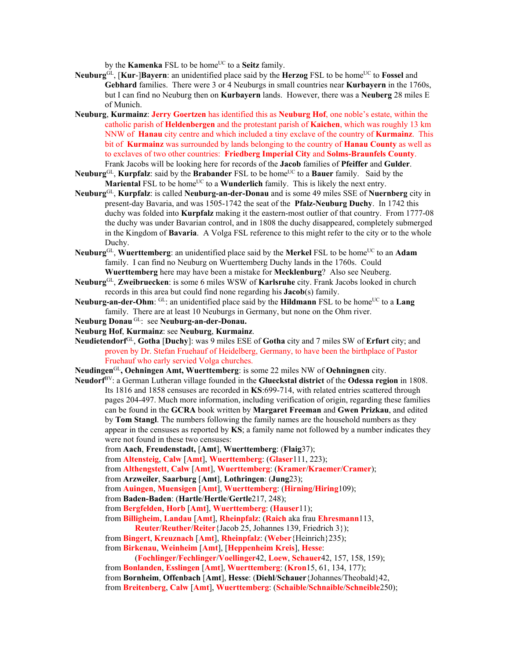by the **Kamenka** FSL to be home<sup>UC</sup> to a **Seitz** family.

- Neuburg<sup>GL</sup>, [Kur-]Bayern: an unidentified place said by the **Herzog** FSL to be home<sup>UC</sup> to **Fossel** and **Gebhard** families. There were 3 or 4 Neuburgs in small countries near **Kurbayern** in the 1760s, but I can find no Neuburg then on **Kurbayern** lands. However, there was a **Neuberg** 28 miles E of Munich.
- **Neuburg**, **Kurmainz**: **Jerry Goertzen** has identified this as **Neuburg Hof**, one noble's estate, within the catholic parish of **Heldenbergen** and the protestant parish of **Kaichen**, which was roughly 13 km NNW of **Hanau** city centre and which included a tiny exclave of the country of **Kurmainz**. This bit of **Kurmainz** was surrounded by lands belonging to the country of **Hanau County** as well as to exclaves of two other countries: **Friedberg Imperial City** and **Solms-Braunfels County**. Frank Jacobs will be looking here for records of the **Jacob** families of **Pfeiffer** and **Gulder**.
- **Neuburg**<sup>GL</sup>, **Kurpfalz**: said by the **Brabander** FSL to be home<sup>UC</sup> to a **Bauer** family. Said by the **Mariental FSL** to be home<sup>UC</sup> to a **Wunderlich** family. This is likely the next entry.
- **Neuburg**GL, **Kurpfalz**: is called **Neuburg-an-der-Donau** and is some 49 miles SSE of **Nuernberg** city in present-day Bavaria, and was 1505-1742 the seat of the **Pfalz-Neuburg Duchy**. In 1742 this duchy was folded into **Kurpfalz** making it the eastern-most outlier of that country. From 1777-08 the duchy was under Bavarian control, and in 1808 the duchy disappeared, completely submerged in the Kingdom of **Bavaria**. A Volga FSL reference to this might refer to the city or to the whole Duchy.
- Neuburg<sup>GL</sup>, Wuerttemberg: an unidentified place said by the Merkel FSL to be home<sup>UC</sup> to an Adam family. I can find no Neuburg on Wuerttemberg Duchy lands in the 1760s. Could **Wuerttemberg** here may have been a mistake for **Mecklenburg**? Also see Neuberg.
- **Neuburg**GL, **Zweibruecken**: is some 6 miles WSW of **Karlsruhe** city. Frank Jacobs looked in church records in this area but could find none regarding his **Jacob**(s) family.
- **Neuburg-an-der-Ohm**: <sup>GL</sup>: an unidentified place said by the **Hildmann** FSL to be home<sup>UC</sup> to a **Lang** family. There are at least 10 Neuburgs in Germany, but none on the Ohm river.
- **Neuburg Donau** GL: see **Neuburg-an-der-Donau.**
- **Neuburg Hof**, **Kurmainz**: see **Neuburg**, **Kurmainz**.
- **Neudietendorf**GL, **Gotha** [**Duchy**]: was 9 miles ESE of **Gotha** city and 7 miles SW of **Erfurt** city; and proven by Dr. Stefan Fruehauf of Heidelberg, Germany, to have been the birthplace of Pastor Fruehauf who early servied Volga churches.
- **Neudingen**GL**, Oehningen Amt, Wuerttemberg**: is some 22 miles NW of **Oehningnen** city.
- **Neudorf**BV: a German Lutheran village founded in the **Glueckstal district** of the **Odessa region** in 1808. Its 1816 and 1858 censuses are recorded in **KS**:699-714, with related entries scattered through pages 204-497. Much more information, including verification of origin, regarding these families can be found in the **GCRA** book written by **Margaret Freeman** and **Gwen Prizkau**, and edited by **Tom Stangl**. The numbers following the family names are the household numbers as they appear in the censuses as reported by **KS**; a family name not followed by a number indicates they were not found in these two censuses:
	- from **Aach**, **Freudenstadt,** [**Amt**], **Wuerttemberg**: (**Flaig**37);
	- from **Altensteig**, **Calw** [**Amt**], **Wuerttemberg**: (**Glaser**111, 223);
	- from **Althengstett**, **Calw** [**Amt**], **Wuerttemberg**: (**Kramer**/**Kraemer**/**Cramer**);
	- from **Arzweiler**, **Saarburg** [**Amt**], **Lothringen**: (**Jung**23);
	- from **Auingen**, **Muensigen** [**Amt**], **Wuerttemberg**: (**Hirning**/**Hiring**109);
	- from **Baden-Baden**: (**Hartle**/**Hertle**/**Gertle**217, 248);
	- from **Bergfelden**, **Horb** [**Amt**], **Wuerttemberg**: (**Hauser**11);
	- from **Billigheim**, **Landau** [**Amt**], **Rheinpfalz**: (**Raich** aka frau **Ehresmann**113,
		- **Reuter**/**Reuther**/**Reiter**{Jacob 25, Johannes 139, Friedrich 3});
	- from **Bingert**, **Kreuznach** [**Amt**], **Rheinpfalz**: (**Weber**{Heinrich}235);
	- from **Birkenau**, **Weinheim** [**Amt**], [**Heppenheim Kreis**], **Hesse**:
	- (**Fochlinger**/**Fechlinger**/**Voellinger**42, **Loew**, **Schauer**42, 157, 158, 159);
	- from **Bonlanden**, **Esslingen** [**Amt**], **Wuerttemberg**: (**Kron**15, 61, 134, 177); from **Bornheim**, **Offenbach** [**Amt**], **Hesse**: (**Diehl**/**Schauer**{Johannes/Theobald}42,
	- from **Breitenberg**, **Calw** [**Amt**], **Wuerttemberg**: (**Schaible**/**Schnaible**/**Schneible**250);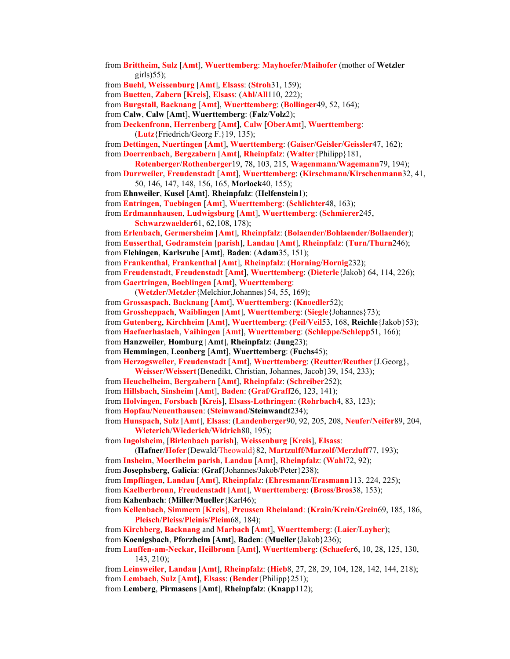- from **Brittheim**, **Sulz** [**Amt**], **Wuerttemberg**: **Mayhoefer**/**Maihofer** (mother of **Wetzler** girls $(55)$ ;
- from **Buehl**, **Weissenburg** [**Amt**], **Elsass**: (**Stroh**31, 159);
- from **Buetten**, **Zabern** [**Kreis**], **Elsass**: (**Ahl**/**All**110, 222);
- from **Burgstall**, **Backnang** [**Amt**], **Wuerttemberg**: (**Bollinger**49, 52, 164);
- from **Calw**, **Calw** [**Amt**], **Wuerttemberg**: (**Falz**/**Volz**2);

from **Deckenfronn**, **Herrenberg** [**Amt**], **Calw** [**OberAmt**], **Wuerttemberg**: (**Lutz**{Friedrich/Georg F.}19, 135);

from **Dettingen**, **Nuertingen** [**Amt**], **Wuerttemberg**: (**Gaiser**/**Geisler**/**Geissler**47, 162);

from **Doerrenbach**, **Bergzabern** [**Amt**], **Rheinpfalz**: (**Walter**{Philipp}181,

- **Rotenberger**/**Rothenberger**19, 78, 103, 215, **Wagenmann**/**Wagemann**79, 194);
- from **Durrweiler**, **Freudenstadt** [**Amt**], **Wuerttemberg**: (**Kirschmann**/**Kirschenmann**32, 41, 50, 146, 147, 148, 156, 165, **Morlock**40, 155);
- from **Ehnweiler**, **Kusel** [**Amt**], **Rheinpfalz**: (**Helfenstein**1);
- from **Entringen**, **Tuebingen** [**Amt**], **Wuerttemberg**: (**Schlichter**48, 163);
- from **Erdmannhausen**, **Ludwigsburg** [**Amt**], **Wuerttemberg**: (**Schmierer**245, **Schwarzwaelder**61, 62,108, 178);
- from **Erlenbach**, **Germersheim** [**Amt**], **Rheinpfalz**: (**Bolaender/Bohlaender/Bollaender**);
- from **Eusserthal**, **Godramstein** [**parish**], **Landau** [**Amt**], **Rheinpfalz**: (**Turn**/**Thurn**246);

from **Flehingen**, **Karlsruhe** [**Amt**], **Baden**: (**Adam**35, 151);

from **Frankenthal**, **Frankenthal** [**Amt**], **Rheinpfalz**: (**Horning**/**Hornig**232);

from **Freudenstadt**, **Freudenstadt** [**Amt**], **Wuerttemberg**: (**Dieterle**{Jakob} 64, 114, 226);

from **Gaertringen**, **Boeblingen** [**Amt**], **Wuerttemberg**:

- (**Wetzler**/**Metzler**{Melchior,Johannes}54, 55, 169);
- from **Grossaspach**, **Backnang** [**Amt**], **Wuerttemberg**: (**Knoedler**52);
- from **Grossheppach**, **Waiblingen** [**Amt**], **Wuerttemberg**: (**Siegle**{Johannes}73);
- from **Gutenberg**, **Kirchheim** [**Amt**], **Wuerttemberg**: (**Feil**/**Veil**53, 168, **Reichle**{Jakob}53);
- from **Haefnerhaslach**, **Vaihingen** [**Amt**], **Wuerttemberg**: (**Schleppe**/**Schlepp**51, 166);
- from **Hanzweiler**, **Homburg** [**Amt**], **Rheinpfalz**: (**Jung**23);
- from **Hemmingen**, **Leonberg** [**Amt**], **Wuerttemberg**: (**Fuchs**45);

from **Herzogsweiler**, **Freudenstadt** [**Amt**], **Wuerttemberg**: (**Reutter**/**Reuther**{J.Georg},

- **Weisser**/**Weissert**{Benedikt, Christian, Johannes, Jacob}39, 154, 233);
- from **Heuchelheim**, **Bergzabern** [**Amt**], **Rheinpfalz**: (**Schreiber**252);
- from **Hillsbach**, **Sinsheim** [**Amt**], **Baden**: (**Graf**/**Graff**26, 123, 141);

from **Holvingen**, **Forsbach** [**Kreis**], **Elsass-Lothringen**: (**Rohrbach**4, 83, 123);

from **Hopfau/Neuenthausen**: (**Steinwand**/**Steinwandt**234);

from **Hunspach**, **Sulz** [**Amt**], **Elsass**: (**Landenberger**90, 92, 205, 208, **Neufer**/**Neifer**89, 204, **Wieterich**/**Wiederich**/**Widrich**80, 195);

from **Ingolsheim**, [**Birlenbach parish**], **Weissenburg** [**Kreis**], **Elsass**:

- (**Hafner**/**Hofer**{Dewald/Theowald}82, **Martzulff**/**Marzolf**/**Merzluff**77, 193);
- from **Insheim**, **Moerlheim parish**, **Landau** [**Amt**], **Rheinpfalz**: (**Wahl**72, 92);

from **Josephsberg**, **Galicia**: (**Graf**{Johannes/Jakob/Peter}238);

from **Impflingen**, **Landau** [**Amt**], **Rheinpfalz**: (**Ehresmann**/**Erasmann**113, 224, 225);

from **Kaelberbronn**, **Freudenstadt** [**Amt**], **Wuerttemberg**: (**Bross**/**Bros**38, 153);

from **Kahenbach**: (**Miller**/**Mueller**{Karl46);

from **Kellenbach**, **Simmern** [**Kreis**], **Preussen Rheinland**: (**Krain**/**Krein**/**Grein**69, 185, 186, **Pleisch**/**Pleiss**/**Pleinis**/**Pleim**68, 184);

from **Kirchberg**, **Backnang** and **Marbach** [**Amt**], **Wuerttemberg**: (**Laier**/**Layher**);

- from **Koenigsbach**, **Pforzheim** [**Amt**], **Baden**: (**Mueller**{Jakob}236);
- from **Lauffen-am-Neckar**, **Heilbronn** [**Amt**], **Wuerttemberg**: (**Schaefer**6, 10, 28, 125, 130, 143, 210);

from **Leinsweiler**, **Landau** [**Amt**], **Rheinpfalz**: (**Hieb**8, 27, 28, 29, 104, 128, 142, 144, 218); from **Lembach**, **Sulz** [**Amt**], **Elsass**: (**Bender**{Philipp}251);

from **Lemberg**, **Pirmasens** [**Amt**], **Rheinpfalz**: (**Knapp**112);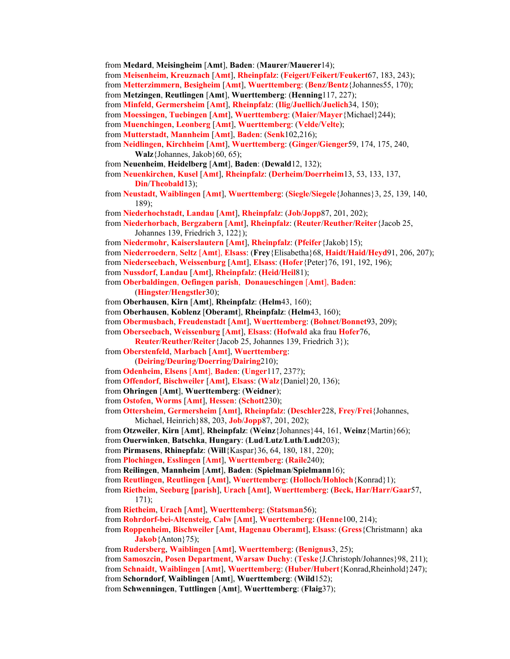from **Medard**, **Meisingheim** [**Amt**], **Baden**: (**Maurer**/**Mauerer**14);

from **Meisenheim**, **Kreuznach** [**Amt**], **Rheinpfalz**: (**Feigert**/**Feikert**/**Feukert**67, 183, 243);

from **Metterzimmern**, **Besigheim** [**Amt**], **Wuerttemberg**: (**Benz**/**Bentz**{Johannes55, 170);

from **Metzingen**, **Reutlingen** [**Amt**], **Wuerttemberg**: (**Henning**117, 227);

from **Minfeld**, **Germersheim** [**Amt**], **Rheinpfalz**: (**Ilig**/**Juellich**/**Juelich**34, 150);

- from **Moessingen**, **Tuebingen** [**Amt**], **Wuerttemberg**: (**Maier/Mayer**{Michael}244);
- from **Muenchingen**, **Leonberg** [**Amt**], **Wuerttemberg**: (**Velde**/**Velte**);
- from **Mutterstadt**, **Mannheim** [**Amt**], **Baden**: (**Senk**102,216);
- from **Neidlingen**, **Kirchheim** [**Amt**], **Wuerttemberg**: (**Ginger**/**Gienger**59, 174, 175, 240, **Walz**{Johannes, Jakob}60, 65);
- from **Neuenheim**, **Heidelberg** [**Amt**], **Baden**: (**Dewald**12, 132);

from **Neuenkirchen**, **Kusel** [**Amt**], **Rheinpfalz**: (**Derheim**/**Doerrheim**13, 53, 133, 137, **Din**/**Theobald**13);

- from **Neustadt**, **Waiblingen** [**Amt**], **Wuerttemberg**: (**Siegle**/**Siegele**{Johannes}3, 25, 139, 140, 189);
- from **Niederhochstadt**, **Landau** [**Amt**], **Rheinpfalz**: (**Job**/**Jopp**87, 201, 202);

from **Niederhorbach**, **Bergzabern** [**Amt**], **Rheinpfalz**: (**Reuter**/**Reuther**/**Reiter**{Jacob 25, Johannes 139, Friedrich 3, 122});

from **Niedermohr**, **Kaiserslautern** [**Amt**], **Rheinpfalz**: (**Pfeifer**{Jakob}15);

- from **Niederroedern**, **Seltz** [**Amt**], **Elsass**: (**Frey**{Elisabetha}68, **Haidt**/**Haid**/**Heyd**91, 206, 207);
- from **Niederseebach**, **Weissenburg** [**Amt**], **Elsass**: (**Hofer**{Peter}76, 191, 192, 196);
- from **Nussdorf**, **Landau** [**Amt**], **Rheinpfalz**: (**Heid**/**Heil**81);

from **Oberbaldingen**, **Oefingen parish**, **Donaueschingen** [**Amt**], **Baden**: (**Hingster**/**Hengstler**30);

- from **Oberhausen**, **Kirn** [**Amt**], **Rheinpfalz**: (**Helm**43, 160);
- from **Oberhausen**, **Koblenz** [**Oberamt**], **Rheinpfalz**: (**Helm**43, 160);
- from **Obermusbach**, **Freudenstadt** [**Amt**], **Wuerttemberg**: (**Bohnet**/**Bonnet**93, 209);
- from **Oberseebach**, **Weissenburg** [**Amt**], **Elsass**: (**Hofwald** aka frau **Hofer**76,

**Reuter**/**Reuther**/**Reiter**{Jacob 25, Johannes 139, Friedrich 3});

- from **Oberstenfeld**, **Marbach** [**Amt**], **Wuerttemberg**:
- (**Deiring**/**Deuring**/**Doerring**/**Dairing**210);
- from **Odenheim**, **Elsens** [**Amt**], **Baden**: (**Unger**117, 237?);
- from **Offendorf**, **Bischweiler** [**Amt**], **Elsass**: (**Walz**{Daniel}20, 136);
- from **Ohringen** [**Amt**], **Wuerttemberg**: (**Weidner**);
- from **Ostofen**, **Worms** [**Amt**], **Hessen**: (**Schott**230);

from **Ottersheim**, **Germersheim** [**Amt**], **Rheinpfalz**: (**Deschler**228, **Frey**/**Frei**{Johannes, Michael, Heinrich}88, 203, **Job**/**Jopp**87, 201, 202);

from **Otzweiler**, **Kirn** [**Amt**], **Rheinpfalz**: (**Weinz**{Johannes}44, 161, **Weinz**{Martin}66);

from **Ouerwinken**, **Batschka**, **Hungary**: (**Lud**/**Lutz**/**Luth**/**Ludt**203);

from **Pirmasens**, **Rhinepfalz**: (**Will**{Kaspar}36, 64, 180, 181, 220);

from **Plochingen**, **Esslingen** [**Amt**], **Wuerttemberg**: (**Raile**240);

- from **Reilingen**, **Mannheim** [**Amt**], **Baden**: (**Spielman**/**Spielmann**16);
- from **Reutlingen**, **Reutlingen** [**Amt**], **Wuerttemberg**: (**Holloch**/**Hohloch**{Konrad}1);

from **Rietheim**, **Seeburg** [**parish**], **Urach** [**Amt**], **Wuerttemberg**: (**Beck, Har/Harr/Gaar**57, 171);

- from **Rietheim**, **Urach** [**Amt**], **Wuerttemberg**: (**Statsman**56);
- from **Rohrdorf-bei-Altensteig**, **Calw** [**Amt**], **Wuerttemberg**: (**Henne**100, 214);
- from **Roppenheim**, **Bischweiler** [**Amt**, **Hagenau Oberamt**], **Elsass**: (**Gress**{Christmann} aka **Jakob**{Anton}75);
- from **Rudersberg**, **Waiblingen** [**Amt**], **Wuerttemberg**: (**Benignus**3, 25);

from **Samoszcin**, **Posen Department**, **Warsaw Duchy**: (**Teske**{J.Christoph/Johannes}98, 211);

from **Schnaidt**, **Waiblingen** [**Amt**], **Wuerttemberg**: (**Huber**/**Hubert**{Konrad,Rheinhold}247);

- from **Schorndorf**, **Waiblingen** [**Amt**], **Wuerttemberg**: (**Wild**152);
- from **Schwenningen**, **Tuttlingen** [**Amt**], **Wuerttemberg**: (**Flaig**37);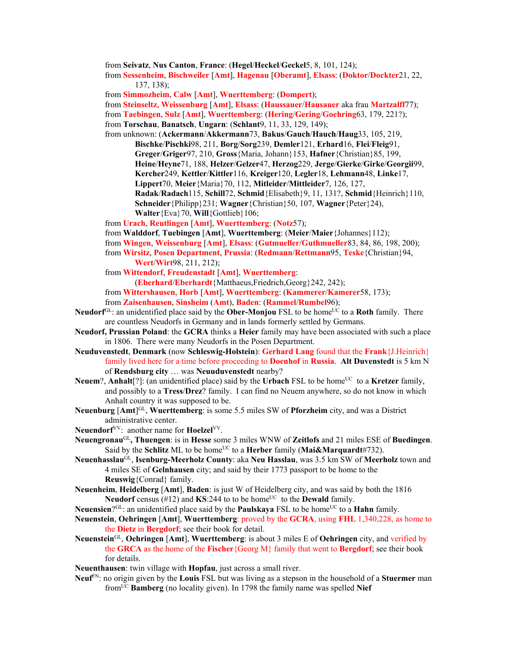from **Seivatz**, **Nus Canton**, **France**: (**Hegel**/**Heckel**/**Geckel**5, 8, 101, 124);

from **Sessenheim**, **Bischweiler** [**Amt**], **Hagenau** [**Oberamt**], **Elsass**: (**Doktor**/**Dockter**21, 22, 137, 138);

from **Simmozheim**, **Calw** [**Amt**], **Wuerttemberg**: (**Dompert**);

from **Steinseltz**, **Weissenburg** [**Amt**], **Elsass**: (**Haussauer**/**Hausauer** aka frau **Martzalff**77); from **Taebingen**, **Sulz** [**Amt**], **Wuerttemberg**: (**Hering**/**Gering**/**Goehring**63, 179, 221?);

from **Torschau**, **Banatsch**, **Ungarn**: (**Schlant**9, 11, 33, 129, 149);

from unknown: (**Ackermann**/**Akkermann**73, **Bakus**/**Gauch**/**Hauch**/**Haug**33, 105, 219, **Bischke**/**Pischki**98, 211, **Borg**/**Sorg**239, **Demler**121, **Erhard**16, **Flei**/**Fleig**91, **Greger**/**Griger**97, 210, **Gross**{Maria, Johann}153, **Hafner**{Christian}85, 199, **Heine**/**Heyne**71, 188, **Helzer**/**Gelzer**47, **Herzog**229, **Jerge**/**Gierke**/**Girke**/**Georgii**99, **Kercher**249, **Kettler**/**Kittler**116, **Kreiger**120, **Legler**18, **Lehmann**48, **Linke**17, **Lippert**70, **Meier**{Maria}70, 112, **Mitleider**/**Mittleider**7, 126, 127, **Radak**/**Radach**115, **Schill**72, **Schmid**{Elisabeth}9, 11, 131?, **Schmid**{Heinrich}110, **Schneider**{Philipp}231; **Wagner**{Christian}50, 107, **Wagner**{Peter}24), **Walter**{Eva}70, **Will**{Gottlieb}106;

from **Urach**, **Reutlingen** [**Amt**], **Wuerttemberg**: (**Notz**57);

from **Walddorf**, **Tuebingen** [**Amt**], **Wuerttemberg**: (**Meier**/**Maier**{Johannes}112);

- from **Wingen**, **Weissenburg** [**Amt**], **Elsass**: (**Gutmueller**/**Guthmueller**83, 84, 86, 198, 200);
- from **Wirsitz**, **Posen Department**, **Prussia**: (**Redmann**/**Rettmann**95, **Teske**{Christian}94, **Wert**/**Wirt**98, 211, 212);
- from **Wittendorf**, **Freudenstadt** [**Amt**], **Wuerttemberg**:

(**Eberhard**/**Eberhardt**{Matthaeus,Friedrich,Georg}242, 242);

from **Wittershausen**, **Horb** [**Amt**], **Wuerttemberg**: (**Kammerer**/**Kamerer**58, 173);

- from **Zaisenhausen**, **Sinsheim** (**Amt**), **Baden**: (**Rammel**/**Rumbel**96);
- **Neudorf**<sup>GL</sup>: an unidentified place said by the **Ober-Monjou** FSL to be home<sup>UC</sup> to a **Roth** family. There are countless Neudorfs in Germany and in lands formerly settled by Germans.
- **Neudorf, Prussian Poland**: the **GCRA** thinks a **Heier** family may have been associated with such a place in 1806. There were many Neudorfs in the Posen Department.
- **Neuduvenstedt**, **Denmark** (now **Schleswig-Holstein**): **Gerhard Lang** found that the **Frank**{J.Heinrich} family lived here for a time before proceeding to **Doenhof** in **Russia**. **Alt Duvenstedt** is 5 km N of **Rendsburg city** … was **Neuuduvenstedt** nearby?

**Neuem**?, **Anhalt**[?]: (an unidentified place) said by the **Urbach** FSL to be home<sup>UC</sup> to a **Kretzer** family, and possibly to a **Tress**/**Drez**? family. I can find no Neuem anywhere, so do not know in which Anhalt country it was supposed to be.

- **Neuenburg** [Amt]<sup>GL</sup>, Wuerttemberg: is some 5.5 miles SW of **Pforzheim** city, and was a District administrative center.
- **Neuendorf**VV: another name for **Hoelzel**VV.
- **Neuengronau**GL**, Thuengen**: is in **Hesse** some 3 miles WNW of **Zeitlofs** and 21 miles ESE of **Buedingen**. Said by the **Schlitz** ML to be home<sup>UC</sup> to a **Herber** family (**Mai&Marquardt**#732).
- **Neuenhasslau**GL, **Isenburg-Meerholz County**: aka **Neu Hasslau**, was 3.5 km SW of **Meerholz** town and 4 miles SE of **Gelnhausen** city; and said by their 1773 passport to be home to the **Reuswig**{Conrad} family.
- **Neuenheim**, **Heidelberg** [**Amt**], **Baden**: is just W of Heidelberg city, and was said by both the 1816 **Neudorf** census (#12) and **KS**:244 to to be home<sup>UC</sup> to the **Dewald** family.
- **Neuensien**?<sup>GL</sup>: an unidentified place said by the **Paulskaya** FSL to be home<sup>UC</sup> to a **Hahn** family.
- **Neuenstein**, **Oehringen** [**Amt**], **Wuerttemberg**: proved by the **GCRA**, using **FHL** 1,340,228, as home to the **Dietz** in **Bergdorf**; see their book for detail.
- **Neuenstein**GL, **Oehringen** [**Amt**], **Wuerttemberg**: is about 3 miles E of **Oehringen** city, and verified by the **GRCA** as the home of the **Fischer**{Georg M} family that went to **Bergdorf**; see their book for details.

**Neuenthausen**: twin village with **Hopfau**, just across a small river.

**Neuf**FN: no origin given by the **Louis** FSL but was living as a stepson in the household of a **Stuermer** man fromUC **Bamberg** (no locality given). In 1798 the family name was spelled **Nief**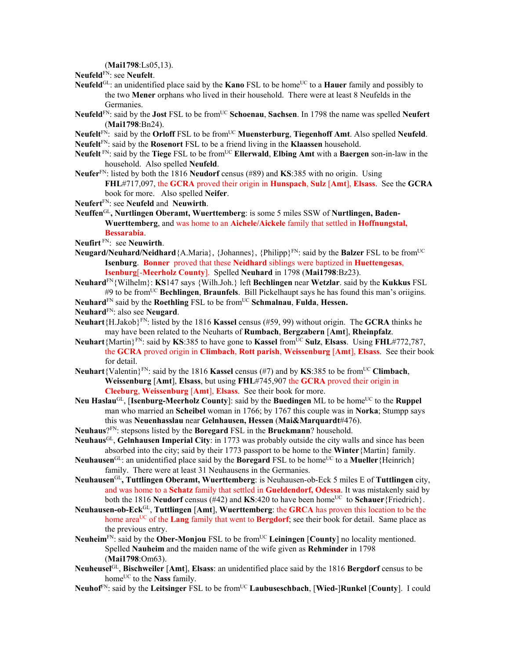(**Mai1798**:Ls05,13).

**Neufeld**FN: see **Neufelt**.

- **Neufeld**<sup>GL</sup>: an unidentified place said by the **Kano** FSL to be home<sup>UC</sup> to a **Hauer** family and possibly to the two **Mener** orphans who lived in their household. There were at least 8 Neufelds in the Germanies.
- **Neufeld**FN: said by the **Jost** FSL to be fromUC **Schoenau**, **Sachsen**. In 1798 the name was spelled **Neufert** (**Mai1798**:Bn24).
- **Neufelt**FN: said by the **Orloff** FSL to be fromUC **Muensterburg**, **Tiegenhoff Amt**. Also spelled **Neufeld**.
- **Neufelt**FN: said by the **Rosenort** FSL to be a friend living in the **Klaassen** household.
- **Neufelt** FN: said by the **Tiege** FSL to be fromUC **Ellerwald**, **Elbing Amt** with a **Baergen** son-in-law in the household. Also spelled **Neufeld**.
- **Neufer**FN: listed by both the 1816 **Neudorf** census (#89) and **KS**:385 with no origin. Using **FHL**#717,097, the **GCRA** proved their origin in **Hunspach**, **Sulz** [**Amt**], **Elsass**. See the **GCRA** book for more. Also spelled **Neifer**.
- **Neufert**FN: see **Neufeld** and **Neuwirth**.
- **Neuffen**GL**, Nurtlingen Oberamt, Wuerttemberg**: is some 5 miles SSW of **Nurtlingen, Baden-Wuerttemberg**, and was home to an **Aichele/Aickele** family that settled in **Hoffnungstal, Bessarabia**.
- **Neufirt** FN: see **Neuwirth**.
- **Neugard/Neuhard/Neidhard**{A.Maria}, {Johannes}, {Philipp}FN: said by the **Balzer** FSL to be fromUC **Isenburg**. **Bonner** proved that these **Neidhard** siblings were baptized in **Huettengesas**, **Isenburg**[-**Meerholz County**]. Spelled **Neuhard** in 1798 (**Mai1798**:Bz23).
- **Neuhard**FN{Wilhelm}: **KS**147 says {Wilh.Joh.} left **Bechlingen** near **Wetzlar**. said by the **Kukkus** FSL #9 to be fromUC **Bechlingen**, **Braunfels**. Bill Pickelhaupt says he has found this man's oriigins.

**Neuhard**<sup>FN</sup> said by the **Roethling** FSL to be from<sup>UC</sup> **Schmalnau**, **Fulda**, **Hessen.** 

**Neuhard**FN: also see **Neugard**.

- **Neuhart**{H.Jakob}<sup>FN</sup>: listed by the 1816 **Kassel** census (#59, 99) without origin. The **GCRA** thinks he may have been related to the Neuharts of **Rumbach**, **Bergzabern** [**Amt**], **Rheinpfalz**.
- **Neuhart**{Martin}FN: said by **KS**:385 to have gone to **Kassel** fromUC **Sulz**, **Elsass**. Using **FHL**#772,787, the **GCRA** proved origin in **Climbach**, **Rott parish**, **Weissenburg** [**Amt**], **Elsass**. See their book for detail.
- **Neuhart**{Valentin}<sup>FN</sup>: said by the 1816 **Kassel** census (#7) and by **KS**:385 to be from<sup>UC</sup> Climbach, **Weissenburg** [**Amt**], **Elsass**, but using **FHL**#745,907 the **GCRA** proved their origin in **Cleeburg**, **Weissenburg** [**Amt**], **Elsass**. See their book for more.
- **Neu Haslau<sup>GL</sup>, [Isenburg-Meerholz County**]: said by the **Buedingen** ML to be home<sup>UC</sup> to the **Ruppel** man who married an **Scheibel** woman in 1766; by 1767 this couple was in **Norka**; Stumpp says this was **Neuenhasslau** near **Gelnhausen, Hessen** (**Mai&Marquardt**#476).
- **Neuhaus**?FN: stepsons listed by the **Boregard** FSL in the **Bruckmann**? household.
- **Neuhaus**GL, **Gelnhausen Imperial City**: in 1773 was probably outside the city walls and since has been absorbed into the city; said by their 1773 passport to be home to the **Winter**{Martin} family.
- **Neuhausen**<sup>GL</sup>: an unidentified place said by the **Boregard** FSL to be home<sup>UC</sup> to a **Mueller** {Heinrich} family. There were at least 31 Neuhausens in the Germanies.
- **Neuhausen**GL**, Tuttlingen Oberamt, Wuerttemberg**: is Neuhausen-ob-Eck 5 miles E of **Tuttlingen** city, and was home to a **Schatz** family that settled in **Gueldendorf, Odessa**. It was mistakenly said by both the 1816 **Neudorf** census (#42) and  $KS:420$  to have been home<sup>UC</sup> to **Schauer**{Friedrich}.
- **Neuhausen-ob-Eck**GL, **Tuttlingen** [**Amt**], **Wuerttemberg**: the **GRCA** has proven this location to be the home area<sup>UC</sup> of the **Lang** family that went to **Bergdorf**; see their book for detail. Same place as the previous entry.
- **Neuheim**<sup>FN</sup>: said by the **Ober-Monjou** FSL to be from<sup>UC</sup> Leiningen [County] no locality mentioned. Spelled **Nauheim** and the maiden name of the wife given as **Rehminder** in 1798 (**Mai1798**:Om63).
- **Neuheusel**GL, **Bischweiler** [**Amt**], **Elsass**: an unidentified place said by the 1816 **Bergdorf** census to be home<sup>UC</sup> to the **Nass** family.
- **Neuhof**FN: said by the **Leitsinger** FSL to be fromUC **Laubuseschbach**, [**Wied-**]**Runkel** [**County**]. I could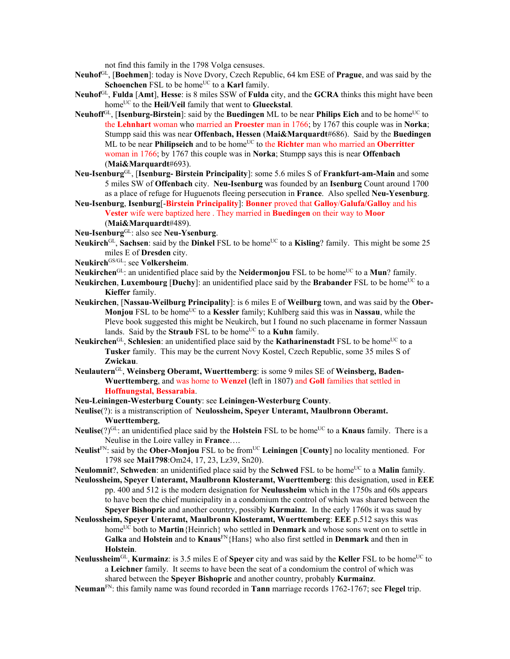not find this family in the 1798 Volga censuses.

- **Neuhof**GL, [**Boehmen**]: today is Nove Dvory, Czech Republic, 64 km ESE of **Prague**, and was said by the **Schoenchen** FSL to be home<sup>UC</sup> to a **Karl** family.
- **Neuhof**GL, **Fulda** [**Amt**], **Hesse**: is 8 miles SSW of **Fulda** city, and the **GCRA** thinks this might have been home<sup>UC</sup> to the **Heil/Veil** family that went to **Glueckstal**.
- **Neuhoff**<sup>GL</sup>, [**Isenburg-Birstein**]: said by the **Buedingen** ML to be near **Philips Eich** and to be home<sup>UC</sup> to the **Lehnhart** woman who married an **Proester** man in 1766; by 1767 this couple was in **Norka**; Stumpp said this was near **Offenbach, Hessen** (**Mai&Marquardt**#686). Said by the **Buedingen** ML to be near **Philipseich** and to be home<sup>UC</sup> to the **Richter** man who married an **Oberritter** woman in 1766; by 1767 this couple was in **Norka**; Stumpp says this is near **Offenbach** (**Mai&Marquardt**#693).
- **Neu-Isenburg**GL, [**Isenburg- Birstein Principality**]: some 5.6 miles S of **Frankfurt-am-Main** and some 5 miles SW of **Offenbach** city. **Neu-Isenburg** was founded by an **Isenburg** Count around 1700 as a place of refuge for Huguenots fleeing persecution in **France**. Also spelled **Neu-Yesenburg**.
- **Neu-Isenburg**, **Isenburg**[-**Birstein Principality**]: **Bonner** proved that **Galloy**/**Galufa/Galloy** and his **Vester** wife were baptized here . They married in **Buedingen** on their way to **Moor** (**Mai&Marquardt**#489).
- **Neu-Isenburg**GL: also see **Neu-Ysenburg**.
- Neukirch<sup>GL</sup>, Sachsen: said by the Dinkel FSL to be home<sup>UC</sup> to a Kisling? family. This might be some 25 miles E of **Dresden** city.
- **Neukirch**GS/GL: see **Volkersheim**.
- **Neukirchen**<sup>GL</sup>: an unidentified place said by the **Neidermonjou** FSL to be home<sup>UC</sup> to a **Mun**? family.
- **Neukirchen, Luxembourg [Duchy]:** an unidentified place said by the **Brabander** FSL to be home<sup>UC</sup> to a **Kieffer** family.
- **Neukirchen**, [**Nassau-Weilburg Principality**]: is 6 miles E of **Weilburg** town, and was said by the **Ober-Monjou** FSL to be homeUC to a **Kessler** family; Kuhlberg said this was in **Nassau**, while the Pleve book suggested this might be Neukirch, but I found no such placename in former Nassaun lands. Said by the **Straub** FSL to be home<sup>UC</sup> to a **Kuhn** family.
- Neukirchen<sup>GL</sup>, Schlesien: an unidentified place said by the **Katharinenstadt** FSL to be home<sup>UC</sup> to a **Tusker** family. This may be the current Novy Kostel, Czech Republic, some 35 miles S of **Zwickau**.
- **Neulautern**GL, **Weinsberg Oberamt, Wuerttemberg**: is some 9 miles SE of **Weinsberg, Baden-Wuerttemberg**, and was home to **Wenzel** (left in 1807) and **Goll** families that settled in **Hoffnungstal, Bessarabia**.
- **Neu-Leiningen-Westerburg County**: see **Leiningen-Westerburg County**.
- **Neulise**(?): is a mistranscription of **Neulossheim, Speyer Unteramt, Maulbronn Oberamt. Wuerttemberg**,
- **Neulise**(?)<sup>GL</sup>: an unidentified place said by the **Holstein** FSL to be home<sup>UC</sup> to a **Knaus** family. There is a Neulise in the Loire valley in **France**….
- **Neulist**<sup>FN</sup>: said by the **Ober-Monjou** FSL to be from<sup>UC</sup> **Leiningen** [County] no locality mentioned. For 1798 see **Mai1798**:Om24, 17, 23, Lz39, Sn20).
- **Neulomnit?. Schweden:** an unidentified place said by the **Schwed** FSL to be home<sup>UC</sup> to a **Malin** family.
- **Neulossheim, Speyer Unteramt, Maulbronn Klosteramt, Wuerttemberg**: this designation, used in **EEE** pp. 400 and 512 is the modern designation for **Neulussheim** which in the 1750s and 60s appears to have been the chief municipality in a condomium the control of which was shared between the **Speyer Bishopric** and another country, possibly **Kurmainz**. In the early 1760s it was saud by
- **Neulossheim, Speyer Unteramt, Maulbronn Klosteramt, Wuerttemberg**: **EEE** p.512 says this was home<sup>UC</sup> both to **Martin**{Heinrich} who settled in **Denmark** and whose sons went on to settle in **Galka** and **Holstein** and to **Knaus**FN{Hans} who also first settled in **Denmark** and then in **Holstein**.
- **Neulussheim**<sup>GL</sup>, **Kurmainz**: is 3.5 miles E of **Speyer** city and was said by the **Keller** FSL to be home<sup>UC</sup> to a **Leichner** family. It seems to have been the seat of a condomium the control of which was shared between the **Speyer Bishopric** and another country, probably **Kurmainz**.
- **Neuman**FN: this family name was found recorded in **Tann** marriage records 1762-1767; see **Flegel** trip.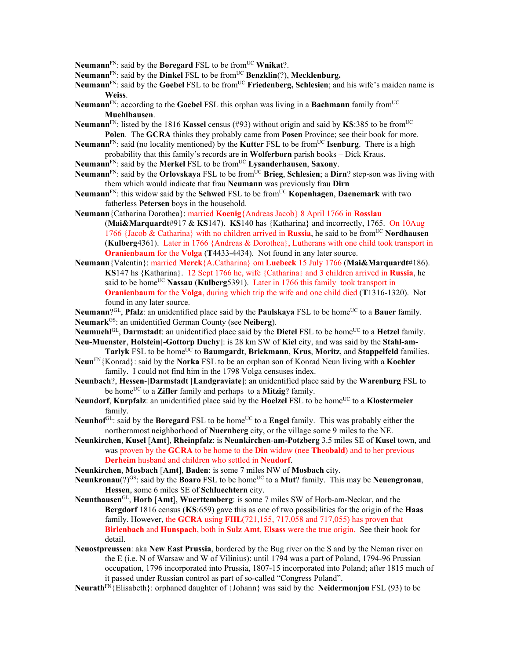**Neumann**<sup>FN</sup>: said by the **Boregard** FSL to be from<sup>UC</sup> **Wnikat**?.

Neumann<sup>FN</sup>: said by the Dinkel FSL to be from<sup>UC</sup> Benzklin(?), Mecklenburg.

- **Neumann**FN: said by the **Goebel** FSL to be fromUC **Friedenberg, Schlesien**; and his wife's maiden name is **Weiss**.
- **Neumann**FN: according to the **Goebel** FSL this orphan was living in a **Bachmann** family fromUC **Muehlhausen**.
- **Neumann**<sup>FN</sup>: listed by the 1816 **Kassel** census (#93) without origin and said by **KS**:385 to be from<sup>UC</sup> **Polen**. The **GCRA** thinks they probably came from **Posen** Province; see their book for more.
- **Neumann**<sup>FN</sup>: said (no locality mentioned) by the **Kutter** FSL to be from<sup>UC</sup> **Isenburg**. There is a high probability that this family's records are in **Wolferborn** parish books – Dick Kraus.
- **Neumann**<sup>FN</sup>: said by the **Merkel** FSL to be from<sup>UC</sup> **Lysanderhausen**, **Saxony**.
- **Neumann**FN: said by the **Orlovskaya** FSL to be fromUC **Brieg**, **Schlesien**; a **Dirn**? step-son was living with them which would indicate that frau **Neumann** was previously frau **Dirn**
- **Neumann**<sup>FN</sup>: this widow said by the **Schwed** FSL to be from<sup>UC</sup> **Kopenhagen, Daenemark** with two fatherless **Petersen** boys in the household.
- **Neumann**{Catharina Dorothea}: married **Koenig**{Andreas Jacob} 8 April 1766 in **Rosslau**  (**Mai&Marquardt**#917 & **KS**147). **KS**140 has {Katharina} and incorrectly, 1765. On 10Aug 1766 {Jacob & Catharina} with no children arrived in **Russia**, he said to be from<sup>UC</sup> **Nordhausen** (**Kulberg**4361). Later in 1766 {Andreas & Dorothea}, Lutherans with one child took transport in **Oranienbaum** for the **Volga** (**T**4433-4434). Not found in any later source.
- **Neumann**{Valentin}: married **Merck**{A.Catharina} om **Luebeck** 15 July 1766 (**Mai&Marquardt**#186). **KS**147 hs {Katharina}. 12 Sept 1766 he, wife {Catharina} and 3 children arrived in **Russia**, he said to be home<sup>UC</sup> Nassau (Kulberg5391). Later in 1766 this family took transport in **Oranienbaum** for the **Volga**, during which trip the wife and one child died (**T**1316-1320). Not found in any later source.
- **Neumann**?<sup>GL</sup>, **Pfalz**: an unidentified place said by the **Paulskaya** FSL to be home<sup>UC</sup> to a **Bauer** family. **Neumark**GS: an unidentified German County (see **Neiberg**).
- Neumuehl<sup>GL</sup>, Darmstadt: an unidentified place said by the Dietel FSL to be home<sup>UC</sup> to a Hetzel family.
- **Neu-Muenster**, **Holstein**[**-Gottorp Duchy**]: is 28 km SW of **Kiel** city, and was said by the **Stahl-am-Tarlyk** FSL to be home<sup>UC</sup> to **Baumgardt**, **Brickmann**, **Krus**, **Moritz**, and **Stappelfeld** families.
- **Neun**FN{Konrad}: said by the **Norka** FSL to be an orphan son of Konrad Neun living with a **Koehler** family. I could not find him in the 1798 Volga censuses index.
- **Neunbach**?, **Hessen**-]**Darmstadt** [**Landgraviate**]: an unidentified place said by the **Warenburg** FSL to be homeUC to a **Zifler** family and perhaps to a **Mitzig**? family.
- **Neundorf, Kurpfalz**: an unidentified place said by the **Hoelzel** FSL to be home<sup>UC</sup> to a **Klostermeier** family.
- **Neunhof**<sup>GL</sup>: said by the **Boregard** FSL to be home<sup>UC</sup> to a **Engel** family. This was probably either the northernmost neighborhood of **Nuernberg** city, or the village some 9 miles to the NE.
- **Neunkirchen**, **Kusel** [**Amt**], **Rheinpfalz**: is **Neunkirchen**-**am-Potzberg** 3.5 miles SE of **Kusel** town, and was proven by the **GCRA** to be home to the **Din** widow (nee **Theobald**) and to her previous **Derheim** husband and children who settled in **Neudorf**.
- **Neunkirchen**, **Mosbach** [**Amt**], **Baden**: is some 7 miles NW of **Mosbach** city.
- **Neunkronau**(?)<sup>GS</sup>: said by the **Boaro** FSL to be home<sup>UC</sup> to a **Mut**? family. This may be **Neuengronau**, **Hessen**, some 6 miles SE of **Schluechtern** city.
- **Neunthausen**GL, **Horb** [**Amt**], **Wuerttemberg**: is some 7 miles SW of Horb-am-Neckar, and the **Bergdorf** 1816 census (**KS**:659) gave this as one of two possibilities for the origin of the **Haas** family. However, the **GCRA** using **FHL**(721,155, 717,058 and 717,055) has proven that **Birlenbach** and **Hunspach**, both in **Sulz Amt**, **Elsass** were the true origin. See their book for detail.
- **Neuostpreussen**: aka **New East Prussia**, bordered by the Bug river on the S and by the Neman river on the E (i.e. N of Warsaw and W of Vilinius): until 1794 was a part of Poland, 1794-96 Prussian occupation, 1796 incorporated into Prussia, 1807-15 incorporated into Poland; after 1815 much of it passed under Russian control as part of so-called "Congress Poland".
- **Neurath**FN{Elisabeth}: orphaned daughter of {Johann} was said by the **Neidermonjou** FSL (93) to be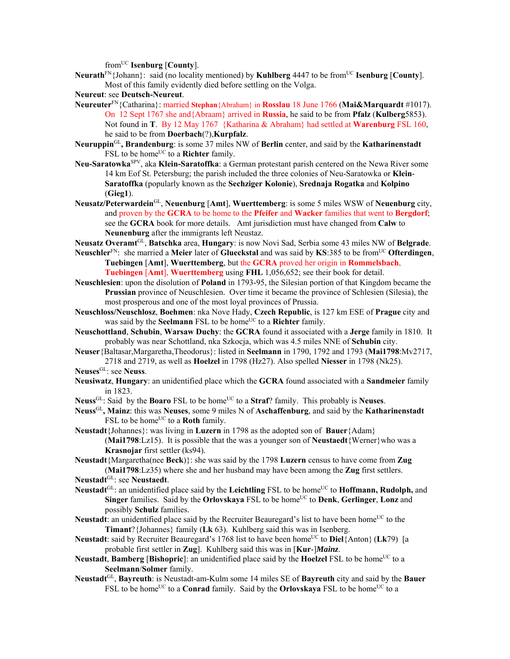fromUC **Isenburg** [**County**].

**Neurath**<sup>FN</sup>{Johann}: said (no locality mentioned) by **Kuhlberg** 4447 to be from<sup>UC</sup> **Isenburg** [**County**]. Most of this family evidently died before settling on the Volga.

**Neureut**: see **Deutsch-Neureut**.

- **Neureuter**FN{Catharina}: married **Stephan**{Abraham} in **Rosslau** 18 June 1766 (**Mai&Marquardt** #1017). On 12 Sept 1767 she and{Abraam} arrived in **Russia**, he said to be from **Pfalz** (**Kulberg**5853). Not found in **T**. By 12 May 1767 {Katharina & Abraham} had settled at **Warenburg** FSL 160, he said to be from **Doerbach**(?),**Kurpfalz**.
- **Neuruppin**GL**, Brandenburg**: is some 37 miles NW of **Berlin** center, and said by the **Katharinenstadt** FSL to be home<sup>UC</sup> to a **Richter** family.
- **Neu-Saratowka**SPV, aka **Klein-Saratoffka**: a German protestant parish centered on the Newa River some 14 km Eof St. Petersburg; the parish included the three colonies of Neu-Saratowka or **Klein**-**Saratoffka** (popularly known as the **Sechziger Kolonie**), **Srednaja Rogatka** and **Kolpino** (**Gieg1**).
- **Neusatz/Peterwardein**GL, **Neuenburg** [**Amt**], **Wuerttemberg**: is some 5 miles WSW of **Neuenburg** city, and proven by the **GCRA** to be home to the **Pfeifer** and **Wacker** families that went to **Bergdorf**; see the **GCRA** book for more details. Amt jurisdiction must have changed from **Calw** to **Neunenburg** after the immigrants left Neustaz.
- **Neusatz Overamt**GL, **Batschka** area, **Hungary**: is now Novi Sad, Serbia some 43 miles NW of **Belgrade**.
- **Neuschler**FN: she married a **Meier** later of **Glueckstal** and was said by **KS**:385 to be fromUC **Ofterdingen**, **Tuebingen** [**Amt**], **Wuerttemberg**, but the **GCRA** proved her origin in **Rommelsbach**, **Tuebingen** [**Amt**], **Wuerttemberg** using **FHL** 1,056,652; see their book for detail.
- **Neuschlesien**: upon the disolution of **Poland** in 1793-95, the Silesian portion of that Kingdom became the **Prussian** province of Neuschlesien. Over time it became the province of Schlesien (Silesia), the most prosperous and one of the most loyal provinces of Prussia.
- **Neuschloss/Neuschlosz**, **Boehmen**: nka Nove Hady, **Czech Republic**, is 127 km ESE of **Prague** city and was said by the **Seelmann** FSL to be home<sup>UC</sup> to a **Richter** family.
- **Neuschottland**, **Schubin**, **Warsaw Duchy**: the **GCRA** found it associated with a **Jerge** family in 1810. It probably was near Schottland, nka Szkocja, which was 4.5 miles NNE of **Schubin** city.
- **Neuser**{Baltasar,Margaretha,Theodorus}: listed in **Seelmann** in 1790, 1792 and 1793 (**Mai1798**:Mv2717, 2718 and 2719, as well as **Hoelzel** in 1798 (Hz27). Also spelled **Niesser** in 1798 (Nk25).
- **Neuses**GL: see **Neuss**.
- **Neusiwatz**, **Hungary**: an unidentified place which the **GCRA** found associated with a **Sandmeier** family in 1823.
- **Neuss**<sup>GL</sup>: Said by the **Boaro** FSL to be home<sup>UC</sup> to a **Straf**? family. This probably is **Neuses**.
- **Neuss**GL**, Mainz**: this was **Neuses**, some 9 miles N of **Aschaffenburg**, and said by the **Katharinenstadt** FSL to be home<sup>UC</sup> to a **Roth** family.
- **Neustadt**{Johannes}: was living in **Luzern** in 1798 as the adopted son of **Bauer**{Adam} (**Mai1798**:Lz15). It is possible that the was a younger son of **Neustaedt**{Werner}who was a **Krasnojar** first settler (ks94).

**Neustadt**{Margaretha(nee **Beck**)}: she was said by the 1798 **Luzern** census to have come from **Zug** (**Mai1798**:Lz35) where she and her husband may have been among the **Zug** first settlers.

- Neustadt<sup>GL</sup>: an unidentified place said by the Leichtling FSL to be home<sup>UC</sup> to **Hoffmann, Rudolph,** and **Singer** families. Said by the **Orlovskaya** FSL to be home<sup>UC</sup> to **Denk**, Gerlinger, Lonz and possibly **Schulz** families.
- **Neustadt**: an unidentified place said by the Recruiter Beauregard's list to have been home<sup>UC</sup> to the **Timant**?{Johannes} family (**Lk** 63). Kuhlberg said this was in Isenberg.
- **Neustadt**: said by Recruiter Beauregard's 1768 list to have been home<sup>UC</sup> to **Diel**{Anton} (Lk79) [a probable first settler in **Zug**]. Kuhlberg said this was in [**Kur**-]*Mainz*.
- **Neustadt**, **Bamberg** [Bishopric]: an unidentified place said by the Hoelzel FSL to be home<sup>UC</sup> to a **Seelmann**/**Solmer** family.
- **Neustadt**GL, **Bayreuth**: is Neustadt-am-Kulm some 14 miles SE of **Bayreuth** city and said by the **Bauer** FSL to be home<sup>UC</sup> to a **Conrad** family. Said by the **Orlovskaya** FSL to be home<sup>UC</sup> to a

**Neustadt**GL: see **Neustaedt**.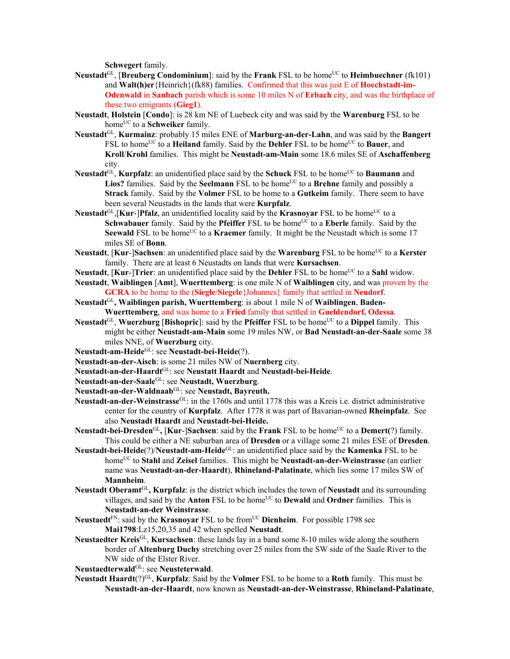**Schwegert** family.

- **Neustadt**<sup>GL</sup>, [Breuberg Condominium]: said by the Frank FSL to be home<sup>UC</sup> to Heimbuechner (fk101) and **Walt(h)er**{Heinrich}(fk88) families. Confirmed that this was just E of **Hoechstadt-im-Odenwald** in **Sanbach** parish which is some 10 miles N of **Erbach** city, and was the birthplace of these two emigrants (**Gieg1**).
- **Neustadt**, **Holstein** [**Condo**]: is 28 km NE of Luebeck city and was said by the **Warenburg** FSL to be home<sup>UC</sup> to a **Schweiker** family.
- **Neustadt**GL, **Kurmainz**: probably 15 miles ENE of **Marburg-an-der-Lahn**, and was said by the **Bangert** FSL to home<sup>UC</sup> to a **Heiland** family. Said by the **Dehler** FSL to be home<sup>UC</sup> to **Bauer**, and **Kroll**/**Krohl** families. This might be **Neustadt-am-Main** some 18.6 miles SE of **Aschaffenberg** city.
- **Neustadt**GL, **Kurpfalz**: an unidentified place said by the **Schuck** FSL to be homeUC to **Baumann** and Lios? families. Said by the **Seelmann** FSL to be home<sup>UC</sup> to a **Brehne** family and possibly a **Strack** family. Said by the **Volmer** FSL to be home to a **Gutkeim** family. There seem to have been several Neustadts in the lands that were **Kurpfalz**.
- **Neustadt**<sup>GL</sup>, **[Kur-]Pfalz**, an unidentified locality said by the **Krasnoyar** FSL to be home<sup>UC</sup> to a **Schwabauer** family. Said by the **Pfeiffer** FSL to be home<sup>UC</sup> to a **Eberle** family. Said by the **Seewald** FSL to be home<sup>UC</sup> to a **Kraemer** family. It might be the Neustadt which is some 17 miles SE of **Bonn**.
- **Neustadt**, [**Kur**-]**Sachsen**: an unidentified place said by the **Warenburg** FSL to be home<sup>UC</sup> to a **Kerster** family. There are at least 6 Neustadts on lands that were **Kursachsen**.
- **Neustadt**, [**Kur**-]**Trier**: an unidentified place said by the **Dehler** FSL to be home<sup>UC</sup> to a **Sahl** widow.
- **Neustadt**, **Waiblingen** [**Amt**], **Wuerttemberg**: is one mile N of **Waiblingen** city, and was proven by the **GCRA** to be home to the (**Siegle**/**Siegele**{Johannes} family that settled in **Neudorf**.
- **Neustadt**GL**, Waiblingen parish, Wuerttemberg**: is about 1 mile N of **Waiblingen**, **Baden-Wuerttemberg**, and was home to a **Fried** family that settled in **Gueldendorf, Odessa**.
- **Neustadt**GL, **Wuerzburg** [**Bishopric**]: said by the **Pfeiffer** FSL to be homeUC to a **Dippel** family. This might be either **Neustadt-am-Main** some 19 miles NW, or **Bad Neustadt-an-der-Saale** some 38 miles NNE, of **Wuerzburg** city.
- **Neustadt-am-Heide**GL: see **Neustadt-bei-Heide**(?).
- **Neustadt-an-der-Aisch**: is some 21 miles NW of **Nuernberg** city.
- **Neustadt-an-der-Haardt**GL: see **Neustatt Haardt** and **Neustadt-bei-Heide**.
- **Neustadt-an-der-Saale**GL: see **Neustadt, Wuerzburg**.
- **Neustadt-an-der-Waldnaab**GL: see **Neustadt, Bayreuth.**
- **Neustadt-an-der-Weinstrasse**GL: in the 1760s and until 1778 this was a Kreis i.e. district administrative center for the country of **Kurpfalz**. After 1778 it was part of Bavarian-owned **Rheinpfalz**. See also **Neustadt Haardt** and **Neustadt-bei-Heide.**
- **Neustadt-bei-Dresden**GL**,** [**Kur**-]**Sachsen**: said by the **Frank** FSL to be homeUC to a **Demert(**?) family. This could be either a NE suburban area of **Dresden** or a village some 21 miles ESE of **Dresden**.
- **Neustadt-bei-Heide**(?)/**Neustadt-am-Heide**GL: an unidentified place said by the **Kamenka** FSL to be homeUC to **Stahl** and **Zeisel** families.This might be **Neustadt-an-der-Weinstrasse** (an earlier name was **Neustadt-an-der-Haardt**), **Rhineland-Palatinate**, which lies some 17 miles SW of **Mannheim**.
- **Neustadt Oberamt**GL**, Kurpfalz**: is the district which includes the town of **Neustadt** and its surrounding villages, and said by the **Anton** FSL to be home<sup>UC</sup> to **Dewald** and **Ordner** families. This is **Neustadt-an-der Weinstrasse**.
- Neustaedt<sup>FN</sup>: said by the **Krasnoyar** FSL to be from<sup>UC</sup> Dienheim. For possible 1798 see **Mai1798**:Lz15,20,35 and 42 when spelled **Neustadt**.
- **Neustaedter Kreis**GL, **Kursachsen**: these lands lay in a band some 8-10 miles wide along the southern border of **Altenburg Duchy** stretching over 25 miles from the SW side of the Saale River to the NW side of the Elster River.

**Neustaedterwald**GL: see **Neusteterwald**.

**Neustadt Haardt**(?)GL, **Kurpfalz**: Said by the **Volmer** FSL to be home to a **Roth** family. This must be **Neustadt-an-der-Haardt**, now known as **Neustadt-an-der-Weinstrasse**, **Rhineland-Palatinate**,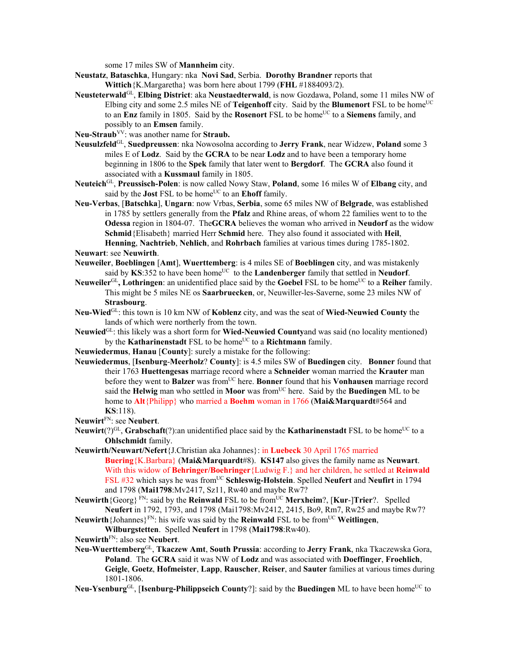some 17 miles SW of **Mannheim** city.

- **Neustatz**, **Bataschka**, Hungary: nka **Novi Sad**, Serbia. **Dorothy Brandner** reports that **Wittich**{K.Margaretha} was born here about 1799 (**FHL** #1884093/2).
- **Neusteterwald**GL, **Elbing District**: aka **Neustaedterwald**, is now Gozdawa, Poland, some 11 miles NW of Elbing city and some 2.5 miles NE of **Teigenhoff** city. Said by the **Blumenort** FSL to be home<sup>UC</sup> to an **Enz** family in 1805. Said by the **Rosenort** FSL to be home<sup>UC</sup> to a **Siemens** family, and possibly to an **Emsen** family.
- **Neu-Straub**VV: was another name for **Straub.**
- **Neusulzfeld**GL, **Suedpreussen**: nka Nowosolna according to **Jerry Frank**, near Widzew, **Poland** some 3 miles E of **Lodz**. Said by the **GCRA** to be near **Lodz** and to have been a temporary home beginning in 1806 to the **Spek** family that later went to **Bergdorf**. The **GCRA** also found it associated with a **Kussmaul** family in 1805.
- **Neuteich**GL, **Preussisch-Polen**: is now called Nowy Staw, **Poland**, some 16 miles W of **Elbang** city, and said by the **Jost** FSL to be home<sup>UC</sup> to an **Ehoff** family.
- **Neu-Verbas**, [**Batschka**], **Ungarn**: now Vrbas, **Serbia**, some 65 miles NW of **Belgrade**, was established in 1785 by settlers generally from the **Pfalz** and Rhine areas, of whom 22 families went to to the **Odessa** region in 1804-07. The**GCRA** believes the woman who arrived in **Neudorf** as the widow **Schmid**{Elisabeth} married Herr **Schmid** here. They also found it associated with **Heil**, **Henning**, **Nachtrieb**, **Nehlich**, and **Rohrbach** families at various times during 1785-1802.
- **Neuwart**: see **Neuwirth**.
- **Neuweiler**, **Boeblingen** [**Amt**], **Wuerttemberg**: is 4 miles SE of **Boeblingen** city, and was mistakenly said by  $KS:352$  to have been home<sup>UC</sup> to the **Landenberger** family that settled in **Neudorf**.
- **Neuweiler**<sup>GL</sup>, Lothringen: an unidentified place said by the **Goebel** FSL to be home<sup>UC</sup> to a **Reiher** family. This might be 5 miles NE os **Saarbruecken**, or, Neuwiller-les-Saverne, some 23 miles NW of **Strasbourg**.
- **Neu-Wied**GL: this town is 10 km NW of **Koblenz** city, and was the seat of **Wied-Neuwied County** the lands of which were northerly from the town.
- **Neuwied**GL: this likely was a short form for **Wied-Neuwied County**and was said (no locality mentioned) by the **Katharinenstadt** FSL to be home<sup>UC</sup> to a **Richtmann** family.
- **Neuwiedermus**, **Hanau** [**County**]: surely a mistake for the following:
- **Neuwiedermus**, [**Isenburg**-**Meerholz**? **County**]: is 4.5 miles SW of **Buedingen** city. **Bonner** found that their 1763 **Huettengesas** marriage record where a **Schneider** woman married the **Krauter** man before they went to **Balzer** was fromUC here. **Bonner** found that his **Vonhausen** marriage record said the **Helwig** man who settled in **Moor** was fromUC here. Said by the **Buedingen** ML to be home to **Alt**{Philipp} who married a **Boehm** woman in 1766 (**Mai&Marquardt**#564 and **KS**:118).
- **Neuwirt**FN: see **Neubert**.
- **Neuwirt**(?)<sup>GL</sup>, **Grabschaft**(?):an unidentified place said by the **Katharinenstadt** FSL to be home<sup>UC</sup> to a **Ohlschmidt** family.
- **Neuwirth/Neuwart/Nefert**{J.Christian aka Johannes}: in **Luebeck** 30 April 1765 married **Buering**{K.Barbara} (**Mai&Marquardt**#8). **KS147** also gives the family name as **Neuwart**. With this widow of **Behringer/Boehringer**{Ludwig F.} and her children, he settled at **Reinwald** FSL #32 which says he was from<sup>UC</sup> Schleswig-Holstein. Spelled Neufert and Neufirt in 1794 and 1798 (**Mai1798**:Mv2417, Sz11, Rw40 and maybe Rw7?
- **Neuwirth**{Georg}<sup>FN</sup>: said by the **Reinwald** FSL to be from<sup>UC</sup> **Merxheim**?, [**Kur-**]Trier?. Spelled **Neufert** in 1792, 1793, and 1798 (Mai1798:Mv2412, 2415, Bo9, Rm7, Rw25 and maybe Rw7?
- **Neuwirth**{Johannes}<sup>FN</sup>: his wife was said by the **Reinwald** FSL to be from<sup>UC</sup> Weitlingen, **Wilburgstetten**. Spelled **Neufert** in 1798 (**Mai1798**:Rw40).
- **Neuwirth**FN: also see **Neubert**.
- **Neu-Wuerttemberg**GL, **Tkaczew Amt**, **South Prussia**: according to **Jerry Frank**, nka Tkaczewska Gora, **Poland**. The **GCRA** said it was NW of **Lodz** and was associated with **Doeffinger**, **Froehlich**, **Geigle**, **Goetz**, **Hofmeister**, **Lapp**, **Rauscher**, **Reiser**, and **Sauter** families at various times during 1801-1806.
- Neu-Ysenburg<sup>GL</sup>, [Isenburg-Philippseich County?]: said by the Buedingen ML to have been home<sup>UC</sup> to